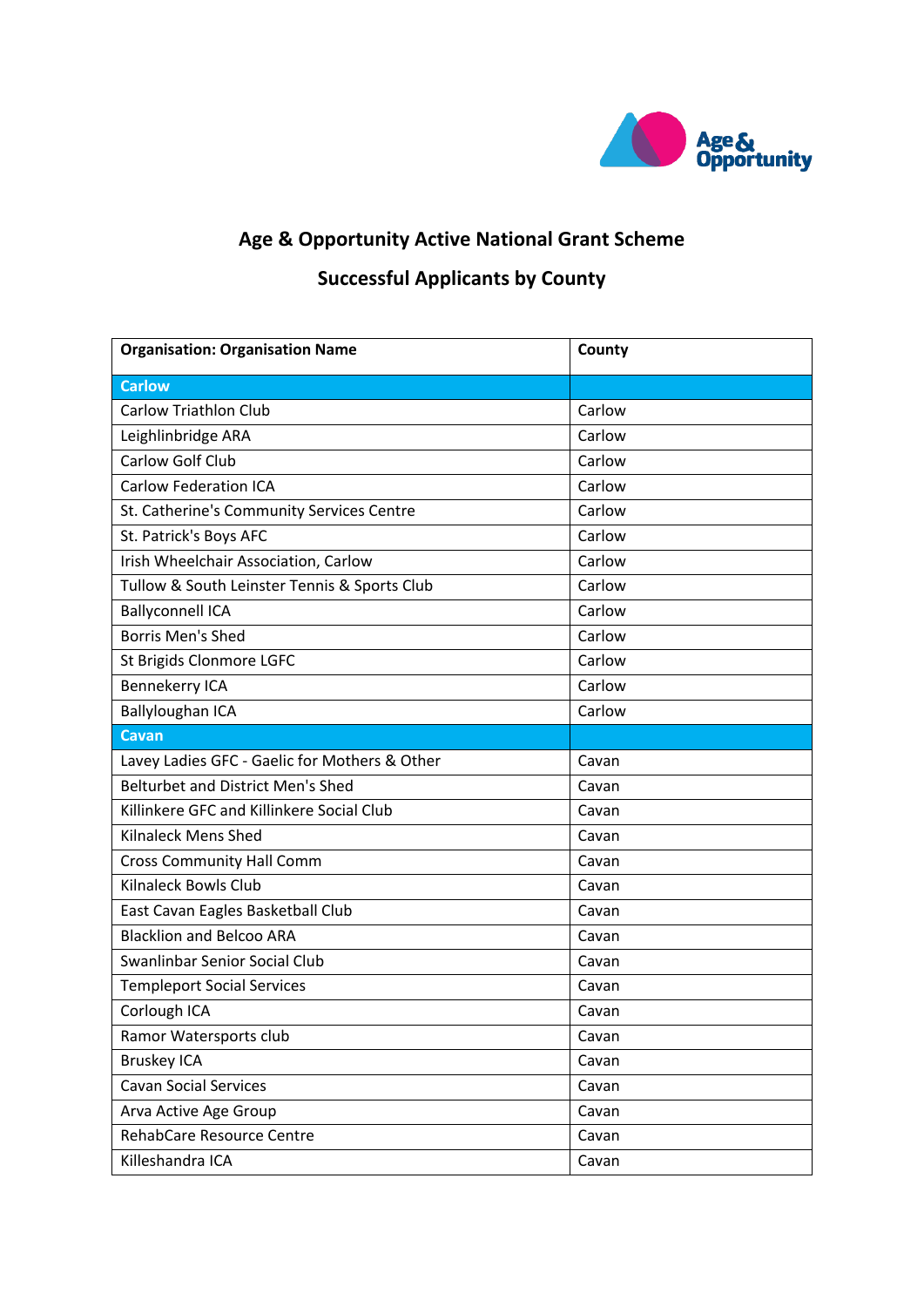

## **Age & Opportunity Active National Grant Scheme**

## **Successful Applicants by County**

| <b>Organisation: Organisation Name</b>        | County |
|-----------------------------------------------|--------|
| <b>Carlow</b>                                 |        |
| <b>Carlow Triathlon Club</b>                  | Carlow |
| Leighlinbridge ARA                            | Carlow |
| Carlow Golf Club                              | Carlow |
| <b>Carlow Federation ICA</b>                  | Carlow |
| St. Catherine's Community Services Centre     | Carlow |
| St. Patrick's Boys AFC                        | Carlow |
| Irish Wheelchair Association, Carlow          | Carlow |
| Tullow & South Leinster Tennis & Sports Club  | Carlow |
| <b>Ballyconnell ICA</b>                       | Carlow |
| <b>Borris Men's Shed</b>                      | Carlow |
| St Brigids Clonmore LGFC                      | Carlow |
| <b>Bennekerry ICA</b>                         | Carlow |
| <b>Ballyloughan ICA</b>                       | Carlow |
| <b>Cavan</b>                                  |        |
| Lavey Ladies GFC - Gaelic for Mothers & Other | Cavan  |
| <b>Belturbet and District Men's Shed</b>      | Cavan  |
| Killinkere GFC and Killinkere Social Club     | Cavan  |
| <b>Kilnaleck Mens Shed</b>                    | Cavan  |
| <b>Cross Community Hall Comm</b>              | Cavan  |
| <b>Kilnaleck Bowls Club</b>                   | Cavan  |
| East Cavan Eagles Basketball Club             | Cavan  |
| <b>Blacklion and Belcoo ARA</b>               | Cavan  |
| Swanlinbar Senior Social Club                 | Cavan  |
| <b>Templeport Social Services</b>             | Cavan  |
| Corlough ICA                                  | Cavan  |
| Ramor Watersports club                        | Cavan  |
| <b>Bruskey ICA</b>                            | Cavan  |
| <b>Cavan Social Services</b>                  | Cavan  |
| Arva Active Age Group                         | Cavan  |
| RehabCare Resource Centre                     | Cavan  |
| Killeshandra ICA                              | Cavan  |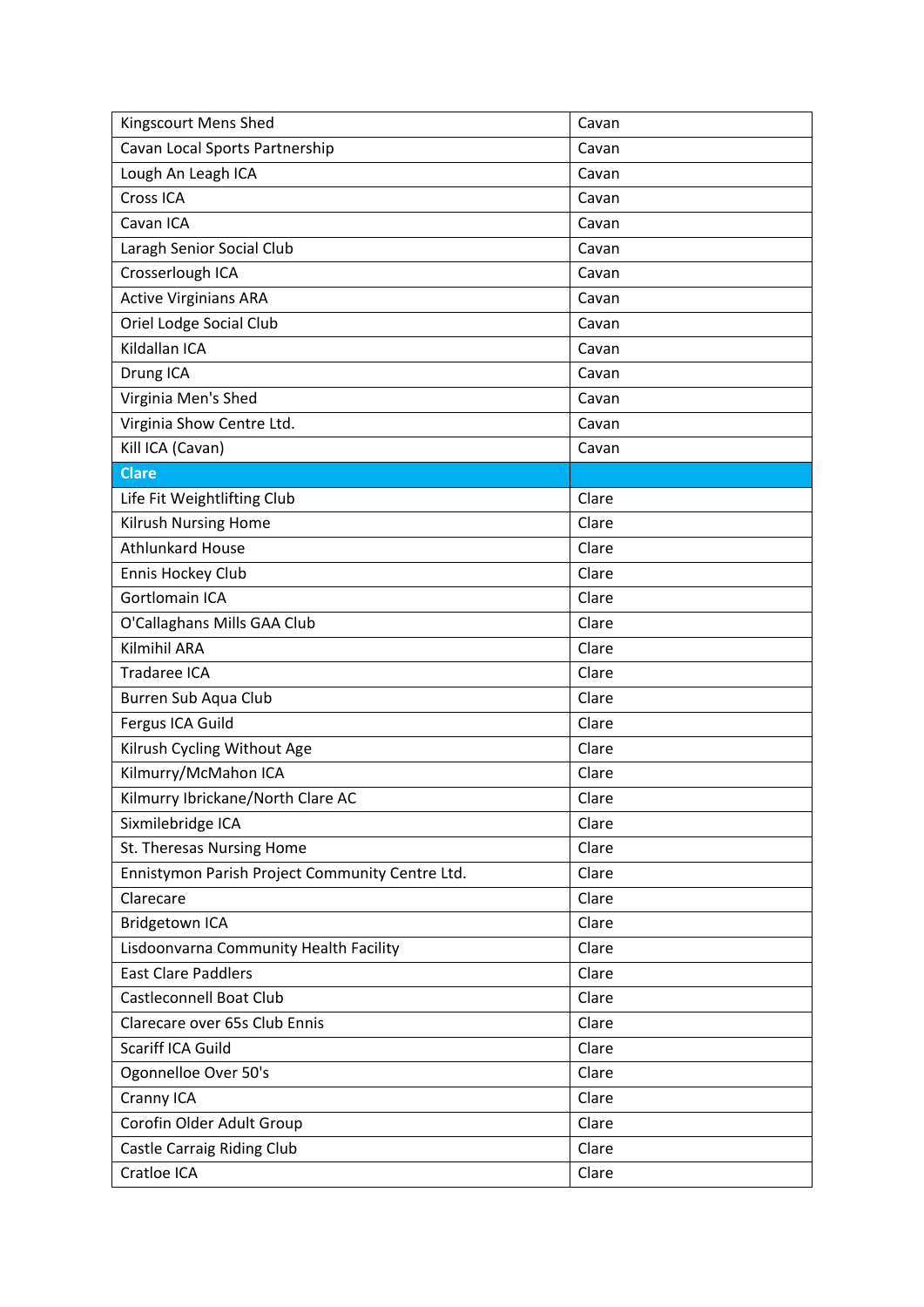| Kingscourt Mens Shed                            | Cavan |
|-------------------------------------------------|-------|
| Cavan Local Sports Partnership                  | Cavan |
| Lough An Leagh ICA                              | Cavan |
| Cross ICA                                       | Cavan |
| Cavan ICA                                       | Cavan |
| Laragh Senior Social Club                       | Cavan |
| Crosserlough ICA                                | Cavan |
| <b>Active Virginians ARA</b>                    | Cavan |
| Oriel Lodge Social Club                         | Cavan |
| Kildallan ICA                                   | Cavan |
| Drung ICA                                       | Cavan |
| Virginia Men's Shed                             | Cavan |
| Virginia Show Centre Ltd.                       | Cavan |
| Kill ICA (Cavan)                                | Cavan |
| <b>Clare</b>                                    |       |
| Life Fit Weightlifting Club                     | Clare |
| Kilrush Nursing Home                            | Clare |
| <b>Athlunkard House</b>                         | Clare |
| Ennis Hockey Club                               | Clare |
| <b>Gortlomain ICA</b>                           | Clare |
| O'Callaghans Mills GAA Club                     | Clare |
| <b>Kilmihil ARA</b>                             | Clare |
| Tradaree ICA                                    | Clare |
| Burren Sub Aqua Club                            | Clare |
| Fergus ICA Guild                                | Clare |
| Kilrush Cycling Without Age                     | Clare |
| Kilmurry/McMahon ICA                            | Clare |
| Kilmurry Ibrickane/North Clare AC               | Clare |
| Sixmilebridge ICA                               | Clare |
| St. Theresas Nursing Home                       | Clare |
| Ennistymon Parish Project Community Centre Ltd. | Clare |
| Clarecare                                       | Clare |
| Bridgetown ICA                                  | Clare |
| Lisdoonvarna Community Health Facility          | Clare |
| <b>East Clare Paddlers</b>                      | Clare |
| <b>Castleconnell Boat Club</b>                  | Clare |
| Clarecare over 65s Club Ennis                   | Clare |
| Scariff ICA Guild                               | Clare |
| Ogonnelloe Over 50's                            | Clare |
| Cranny ICA                                      | Clare |
| Corofin Older Adult Group                       | Clare |
| Castle Carraig Riding Club                      | Clare |
| Cratloe ICA                                     | Clare |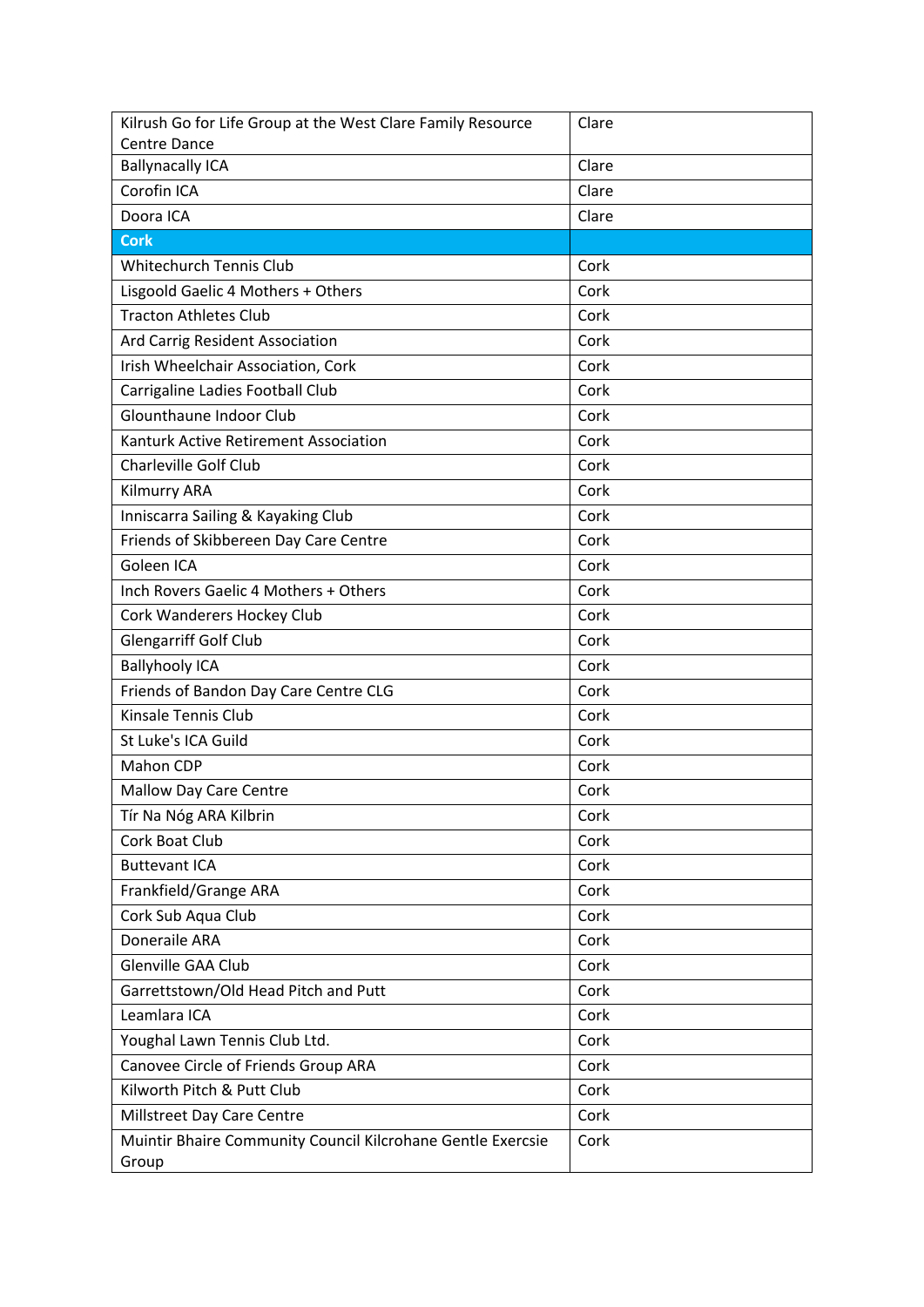| Kilrush Go for Life Group at the West Clare Family Resource | Clare |
|-------------------------------------------------------------|-------|
| <b>Centre Dance</b>                                         | Clare |
| <b>Ballynacally ICA</b><br>Corofin ICA                      |       |
| Doora ICA                                                   | Clare |
|                                                             | Clare |
| <b>Cork</b>                                                 |       |
| <b>Whitechurch Tennis Club</b>                              | Cork  |
| Lisgoold Gaelic 4 Mothers + Others                          | Cork  |
| <b>Tracton Athletes Club</b>                                | Cork  |
| Ard Carrig Resident Association                             | Cork  |
| Irish Wheelchair Association, Cork                          | Cork  |
| Carrigaline Ladies Football Club                            | Cork  |
| Glounthaune Indoor Club                                     | Cork  |
| Kanturk Active Retirement Association                       | Cork  |
| Charleville Golf Club                                       | Cork  |
| Kilmurry ARA                                                | Cork  |
| Inniscarra Sailing & Kayaking Club                          | Cork  |
| Friends of Skibbereen Day Care Centre                       | Cork  |
| Goleen ICA                                                  | Cork  |
| Inch Rovers Gaelic 4 Mothers + Others                       | Cork  |
| Cork Wanderers Hockey Club                                  | Cork  |
| <b>Glengarriff Golf Club</b>                                | Cork  |
| <b>Ballyhooly ICA</b>                                       | Cork  |
| Friends of Bandon Day Care Centre CLG                       | Cork  |
| Kinsale Tennis Club                                         | Cork  |
| St Luke's ICA Guild                                         | Cork  |
| Mahon CDP                                                   | Cork  |
| <b>Mallow Day Care Centre</b>                               | Cork  |
| Tír Na Nóg ARA Kilbrin                                      | Cork  |
| Cork Boat Club                                              | Cork  |
| <b>Buttevant ICA</b>                                        | Cork  |
| Frankfield/Grange ARA                                       | Cork  |
| Cork Sub Aqua Club                                          | Cork  |
| Doneraile ARA                                               | Cork  |
| Glenville GAA Club                                          | Cork  |
| Garrettstown/Old Head Pitch and Putt                        | Cork  |
| Leamlara ICA                                                | Cork  |
| Youghal Lawn Tennis Club Ltd.                               | Cork  |
| Canovee Circle of Friends Group ARA                         | Cork  |
| Kilworth Pitch & Putt Club                                  | Cork  |
| Millstreet Day Care Centre                                  | Cork  |
| Muintir Bhaire Community Council Kilcrohane Gentle Exercsie | Cork  |
| Group                                                       |       |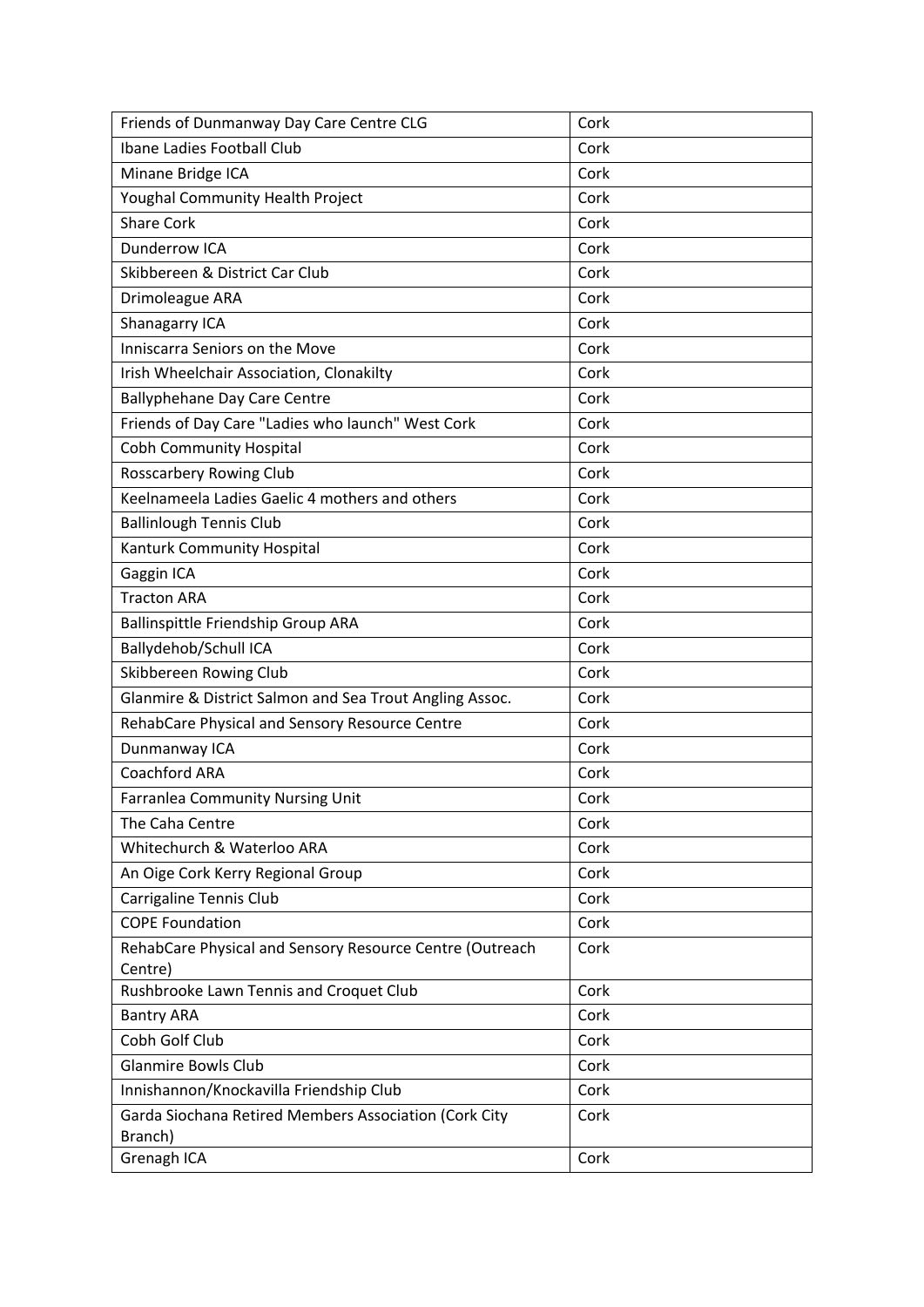| Friends of Dunmanway Day Care Centre CLG                                            | Cork                 |
|-------------------------------------------------------------------------------------|----------------------|
| Ibane Ladies Football Club                                                          | Cork                 |
| Minane Bridge ICA                                                                   | Cork                 |
| Youghal Community Health Project                                                    | Cork                 |
| <b>Share Cork</b>                                                                   | Cork                 |
| Dunderrow ICA                                                                       | Cork                 |
| Skibbereen & District Car Club                                                      | Cork                 |
| Drimoleague ARA                                                                     | Cork                 |
| Shanagarry ICA                                                                      | Cork                 |
| Inniscarra Seniors on the Move                                                      | Cork                 |
| Irish Wheelchair Association, Clonakilty                                            | Cork                 |
| <b>Ballyphehane Day Care Centre</b>                                                 | Cork                 |
| Friends of Day Care "Ladies who launch" West Cork                                   | Cork                 |
| <b>Cobh Community Hospital</b>                                                      | Cork                 |
| <b>Rosscarbery Rowing Club</b>                                                      | Cork                 |
| Keelnameela Ladies Gaelic 4 mothers and others                                      | Cork                 |
| <b>Ballinlough Tennis Club</b>                                                      | Cork                 |
| Kanturk Community Hospital                                                          | Cork                 |
| Gaggin ICA                                                                          | Cork                 |
| <b>Tracton ARA</b>                                                                  | Cork                 |
| Ballinspittle Friendship Group ARA                                                  | Cork                 |
| Ballydehob/Schull ICA                                                               | Cork                 |
| Skibbereen Rowing Club                                                              | Cork                 |
| Glanmire & District Salmon and Sea Trout Angling Assoc.                             | Cork                 |
| RehabCare Physical and Sensory Resource Centre                                      | Cork                 |
| Dunmanway ICA                                                                       | Cork                 |
| Coachford ARA                                                                       | Cork                 |
| Farranlea Community Nursing Unit                                                    | Cork                 |
| The Caha Centre                                                                     | Cork                 |
| Whitechurch & Waterloo ARA                                                          | Cork                 |
| An Oige Cork Kerry Regional Group                                                   | Cork                 |
| Carrigaline Tennis Club                                                             | Cork                 |
| <b>COPE Foundation</b>                                                              | Cork                 |
| RehabCare Physical and Sensory Resource Centre (Outreach                            | Cork                 |
| Centre)                                                                             |                      |
|                                                                                     |                      |
| <b>Bantry ARA</b>                                                                   | Cork                 |
|                                                                                     |                      |
| <b>Glanmire Bowls Club</b>                                                          | Cork                 |
| Innishannon/Knockavilla Friendship Club                                             | Cork                 |
| Garda Siochana Retired Members Association (Cork City                               | Cork                 |
|                                                                                     |                      |
| Rushbrooke Lawn Tennis and Croquet Club<br>Cobh Golf Club<br>Branch)<br>Grenagh ICA | Cork<br>Cork<br>Cork |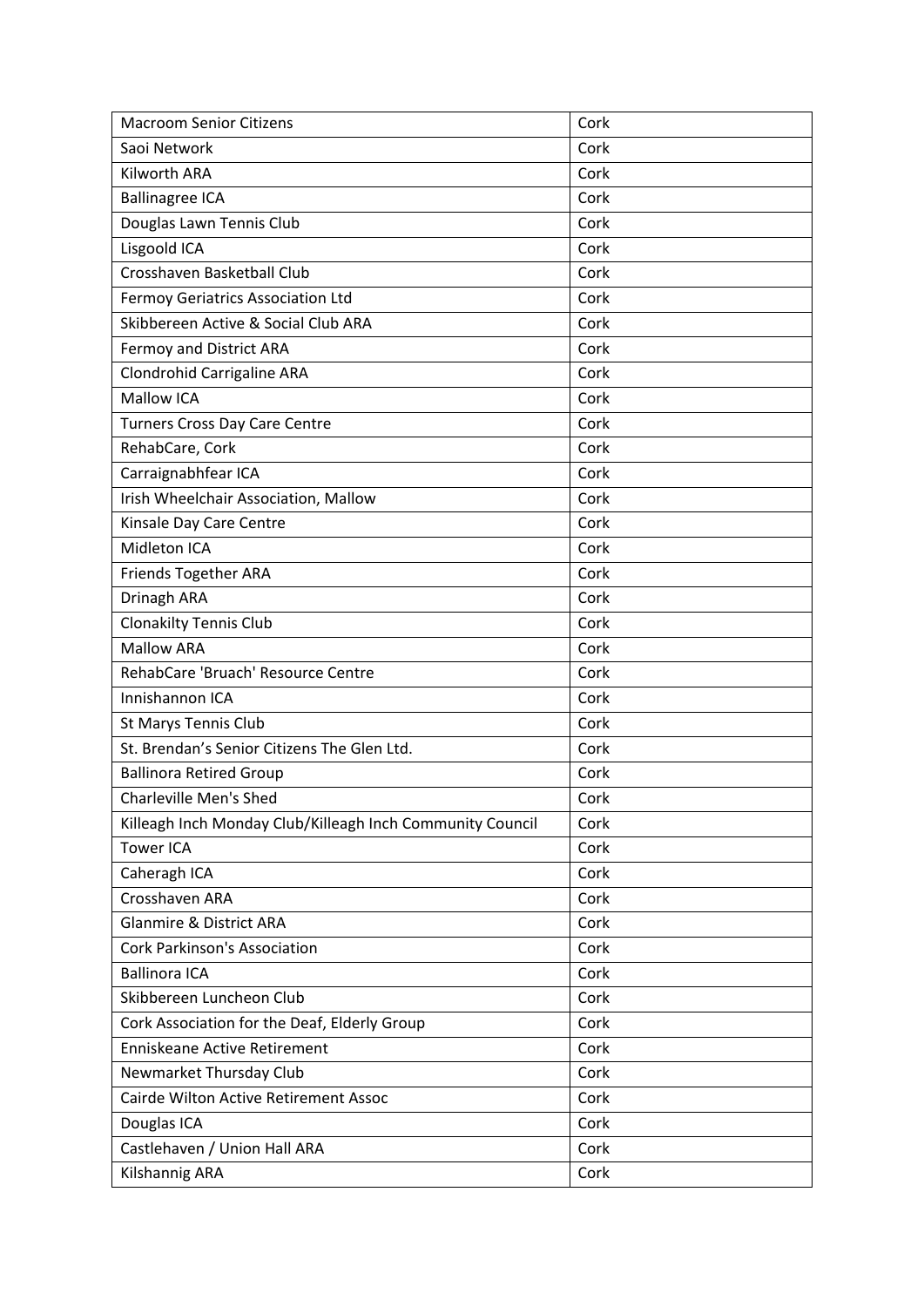| <b>Macroom Senior Citizens</b>                            | Cork |
|-----------------------------------------------------------|------|
| Saoi Network                                              | Cork |
| Kilworth ARA                                              | Cork |
| <b>Ballinagree ICA</b>                                    | Cork |
| Douglas Lawn Tennis Club                                  | Cork |
| Lisgoold ICA                                              | Cork |
| Crosshaven Basketball Club                                | Cork |
| Fermoy Geriatrics Association Ltd                         | Cork |
| Skibbereen Active & Social Club ARA                       | Cork |
| Fermoy and District ARA                                   | Cork |
| Clondrohid Carrigaline ARA                                | Cork |
| <b>Mallow ICA</b>                                         | Cork |
| <b>Turners Cross Day Care Centre</b>                      | Cork |
| RehabCare, Cork                                           | Cork |
| Carraignabhfear ICA                                       | Cork |
| Irish Wheelchair Association, Mallow                      | Cork |
| Kinsale Day Care Centre                                   | Cork |
| Midleton ICA                                              | Cork |
| <b>Friends Together ARA</b>                               | Cork |
| Drinagh ARA                                               | Cork |
| <b>Clonakilty Tennis Club</b>                             | Cork |
| <b>Mallow ARA</b>                                         | Cork |
| RehabCare 'Bruach' Resource Centre                        | Cork |
| Innishannon ICA                                           | Cork |
| St Marys Tennis Club                                      | Cork |
| St. Brendan's Senior Citizens The Glen Ltd.               | Cork |
| <b>Ballinora Retired Group</b>                            | Cork |
| <b>Charleville Men's Shed</b>                             | Cork |
| Killeagh Inch Monday Club/Killeagh Inch Community Council | Cork |
| <b>Tower ICA</b>                                          | Cork |
| Caheragh ICA                                              | Cork |
| Crosshaven ARA                                            | Cork |
| <b>Glanmire &amp; District ARA</b>                        | Cork |
| <b>Cork Parkinson's Association</b>                       | Cork |
| <b>Ballinora ICA</b>                                      | Cork |
| Skibbereen Luncheon Club                                  | Cork |
| Cork Association for the Deaf, Elderly Group              | Cork |
| Enniskeane Active Retirement                              | Cork |
| Newmarket Thursday Club                                   | Cork |
| Cairde Wilton Active Retirement Assoc                     | Cork |
| Douglas ICA                                               | Cork |
| Castlehaven / Union Hall ARA                              | Cork |
| Kilshannig ARA                                            | Cork |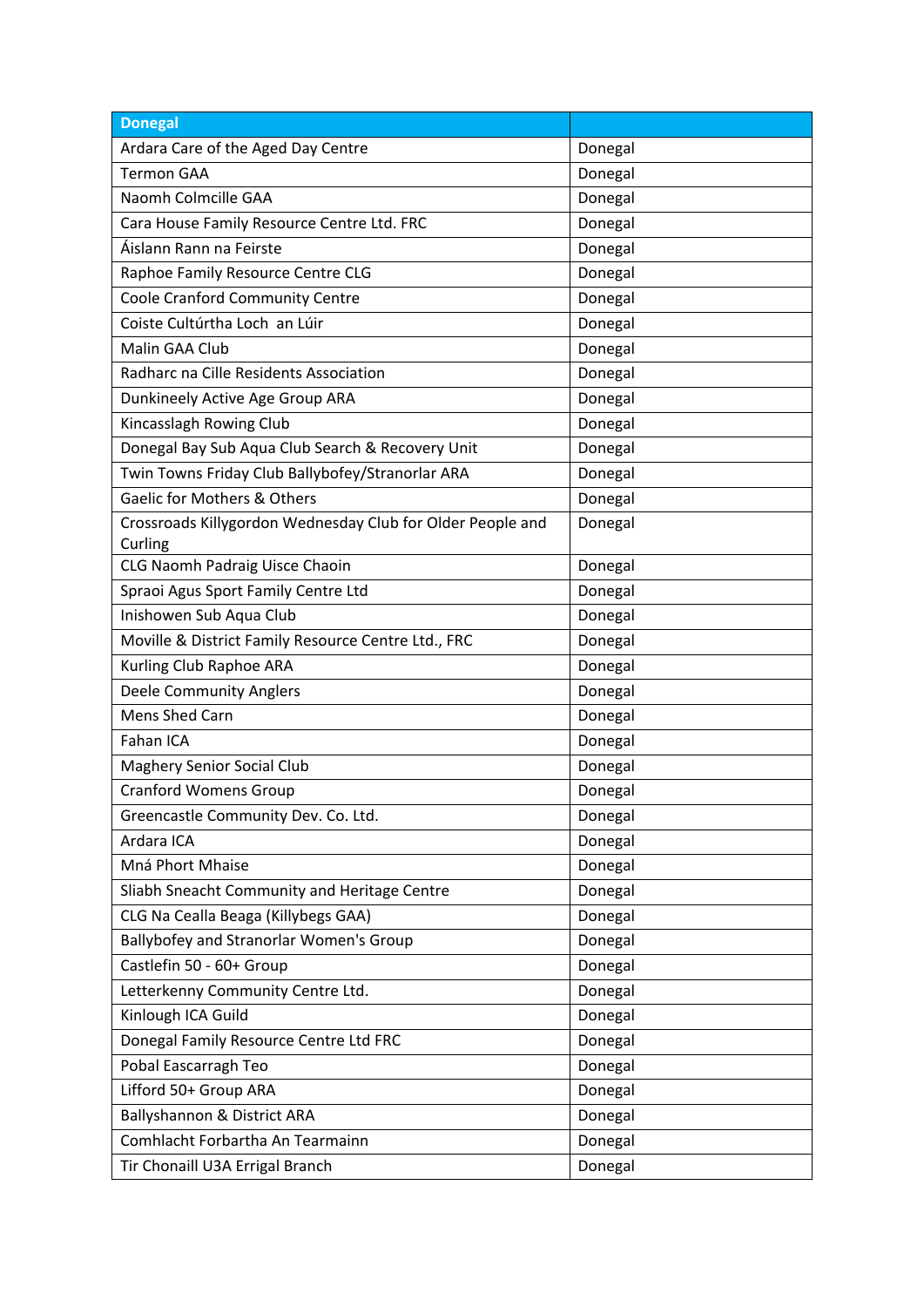| <b>Donegal</b>                                                        |         |
|-----------------------------------------------------------------------|---------|
| Ardara Care of the Aged Day Centre                                    | Donegal |
| <b>Termon GAA</b>                                                     | Donegal |
| Naomh Colmcille GAA                                                   | Donegal |
| Cara House Family Resource Centre Ltd. FRC                            | Donegal |
| Áislann Rann na Feirste                                               | Donegal |
| Raphoe Family Resource Centre CLG                                     | Donegal |
| Coole Cranford Community Centre                                       | Donegal |
| Coiste Cultúrtha Loch an Lúir                                         | Donegal |
| Malin GAA Club                                                        | Donegal |
| Radharc na Cille Residents Association                                | Donegal |
| Dunkineely Active Age Group ARA                                       | Donegal |
| Kincasslagh Rowing Club                                               | Donegal |
| Donegal Bay Sub Aqua Club Search & Recovery Unit                      | Donegal |
| Twin Towns Friday Club Ballybofey/Stranorlar ARA                      | Donegal |
| Gaelic for Mothers & Others                                           | Donegal |
| Crossroads Killygordon Wednesday Club for Older People and<br>Curling | Donegal |
| CLG Naomh Padraig Uisce Chaoin                                        | Donegal |
| Spraoi Agus Sport Family Centre Ltd                                   | Donegal |
| Inishowen Sub Aqua Club                                               | Donegal |
| Moville & District Family Resource Centre Ltd., FRC                   | Donegal |
| Kurling Club Raphoe ARA                                               | Donegal |
| <b>Deele Community Anglers</b>                                        | Donegal |
| Mens Shed Carn                                                        | Donegal |
| Fahan ICA                                                             | Donegal |
| <b>Maghery Senior Social Club</b>                                     | Donegal |
| <b>Cranford Womens Group</b>                                          | Donegal |
| Greencastle Community Dev. Co. Ltd.                                   | Donegal |
| Ardara ICA                                                            | Donegal |
| Mná Phort Mhaise                                                      | Donegal |
| Sliabh Sneacht Community and Heritage Centre                          | Donegal |
| CLG Na Cealla Beaga (Killybegs GAA)                                   | Donegal |
| Ballybofey and Stranorlar Women's Group                               | Donegal |
| Castlefin 50 - 60+ Group                                              | Donegal |
| Letterkenny Community Centre Ltd.                                     | Donegal |
| Kinlough ICA Guild                                                    | Donegal |
| Donegal Family Resource Centre Ltd FRC                                | Donegal |
| Pobal Eascarragh Teo                                                  | Donegal |
| Lifford 50+ Group ARA                                                 | Donegal |
| Ballyshannon & District ARA                                           | Donegal |
| Comhlacht Forbartha An Tearmainn                                      | Donegal |
| Tir Chonaill U3A Errigal Branch                                       | Donegal |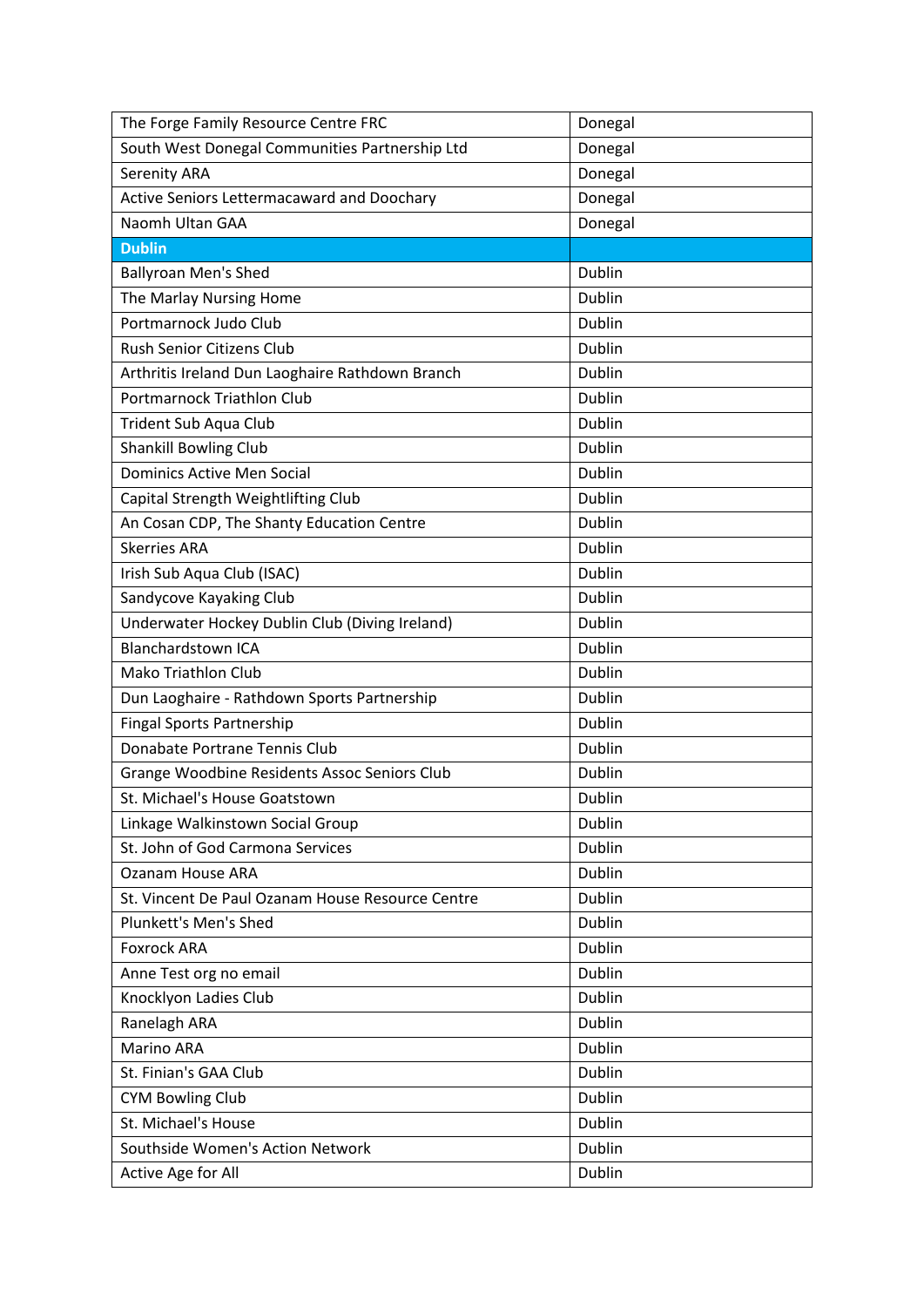| The Forge Family Resource Centre FRC             | Donegal       |
|--------------------------------------------------|---------------|
| South West Donegal Communities Partnership Ltd   | Donegal       |
| Serenity ARA                                     | Donegal       |
| Active Seniors Lettermacaward and Doochary       | Donegal       |
| Naomh Ultan GAA                                  | Donegal       |
| <b>Dublin</b>                                    |               |
| <b>Ballyroan Men's Shed</b>                      | Dublin        |
| The Marlay Nursing Home                          | Dublin        |
| Portmarnock Judo Club                            | Dublin        |
| Rush Senior Citizens Club                        | Dublin        |
| Arthritis Ireland Dun Laoghaire Rathdown Branch  | Dublin        |
| <b>Portmarnock Triathlon Club</b>                | Dublin        |
| Trident Sub Aqua Club                            | Dublin        |
| <b>Shankill Bowling Club</b>                     | Dublin        |
| Dominics Active Men Social                       | Dublin        |
| Capital Strength Weightlifting Club              | Dublin        |
| An Cosan CDP, The Shanty Education Centre        | Dublin        |
| <b>Skerries ARA</b>                              | <b>Dublin</b> |
| Irish Sub Aqua Club (ISAC)                       | Dublin        |
| Sandycove Kayaking Club                          | Dublin        |
| Underwater Hockey Dublin Club (Diving Ireland)   | Dublin        |
| <b>Blanchardstown ICA</b>                        | Dublin        |
| <b>Mako Triathlon Club</b>                       | Dublin        |
| Dun Laoghaire - Rathdown Sports Partnership      | Dublin        |
| <b>Fingal Sports Partnership</b>                 | Dublin        |
| Donabate Portrane Tennis Club                    | Dublin        |
| Grange Woodbine Residents Assoc Seniors Club     | Dublin        |
| St. Michael's House Goatstown                    | <b>Dublin</b> |
| Linkage Walkinstown Social Group                 | Dublin        |
| St. John of God Carmona Services                 | Dublin        |
| <b>Ozanam House ARA</b>                          | Dublin        |
| St. Vincent De Paul Ozanam House Resource Centre | Dublin        |
| Plunkett's Men's Shed                            | Dublin        |
| <b>Foxrock ARA</b>                               | Dublin        |
| Anne Test org no email                           | Dublin        |
| Knocklyon Ladies Club                            | Dublin        |
| Ranelagh ARA                                     | Dublin        |
| Marino ARA                                       | Dublin        |
| St. Finian's GAA Club                            | Dublin        |
| <b>CYM Bowling Club</b>                          | Dublin        |
| St. Michael's House                              | Dublin        |
| Southside Women's Action Network                 | Dublin        |
| Active Age for All                               | Dublin        |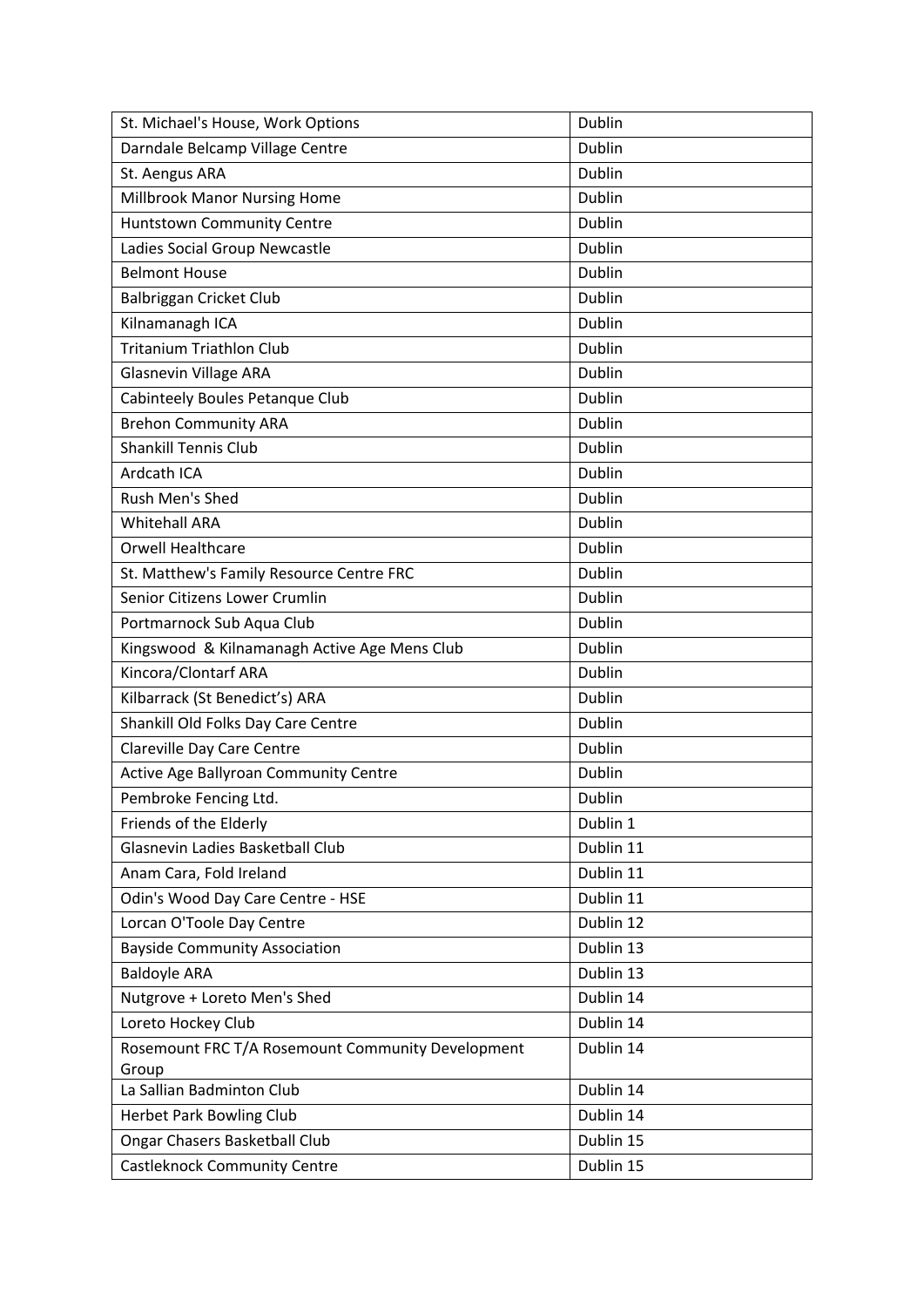| St. Michael's House, Work Options                 | Dublin    |
|---------------------------------------------------|-----------|
| Darndale Belcamp Village Centre                   | Dublin    |
| St. Aengus ARA                                    | Dublin    |
| Millbrook Manor Nursing Home                      | Dublin    |
| <b>Huntstown Community Centre</b>                 | Dublin    |
| Ladies Social Group Newcastle                     | Dublin    |
| <b>Belmont House</b>                              | Dublin    |
| Balbriggan Cricket Club                           | Dublin    |
| Kilnamanagh ICA                                   | Dublin    |
| <b>Tritanium Triathlon Club</b>                   | Dublin    |
| <b>Glasnevin Village ARA</b>                      | Dublin    |
| Cabinteely Boules Petanque Club                   | Dublin    |
| <b>Brehon Community ARA</b>                       | Dublin    |
| <b>Shankill Tennis Club</b>                       | Dublin    |
| Ardcath ICA                                       | Dublin    |
| Rush Men's Shed                                   | Dublin    |
| <b>Whitehall ARA</b>                              | Dublin    |
| <b>Orwell Healthcare</b>                          | Dublin    |
| St. Matthew's Family Resource Centre FRC          | Dublin    |
| Senior Citizens Lower Crumlin                     | Dublin    |
| Portmarnock Sub Aqua Club                         | Dublin    |
| Kingswood & Kilnamanagh Active Age Mens Club      | Dublin    |
| Kincora/Clontarf ARA                              | Dublin    |
| Kilbarrack (St Benedict's) ARA                    | Dublin    |
| Shankill Old Folks Day Care Centre                | Dublin    |
| Clareville Day Care Centre                        | Dublin    |
| Active Age Ballyroan Community Centre             | Dublin    |
| Pembroke Fencing Ltd.                             | Dublin    |
| Friends of the Elderly                            | Dublin 1  |
| Glasnevin Ladies Basketball Club                  | Dublin 11 |
| Anam Cara, Fold Ireland                           | Dublin 11 |
| Odin's Wood Day Care Centre - HSE                 | Dublin 11 |
| Lorcan O'Toole Day Centre                         | Dublin 12 |
| <b>Bayside Community Association</b>              | Dublin 13 |
| <b>Baldoyle ARA</b>                               | Dublin 13 |
| Nutgrove + Loreto Men's Shed                      | Dublin 14 |
| Loreto Hockey Club                                | Dublin 14 |
| Rosemount FRC T/A Rosemount Community Development | Dublin 14 |
| Group                                             |           |
| La Sallian Badminton Club                         | Dublin 14 |
| Herbet Park Bowling Club                          | Dublin 14 |
| <b>Ongar Chasers Basketball Club</b>              | Dublin 15 |
| <b>Castleknock Community Centre</b>               | Dublin 15 |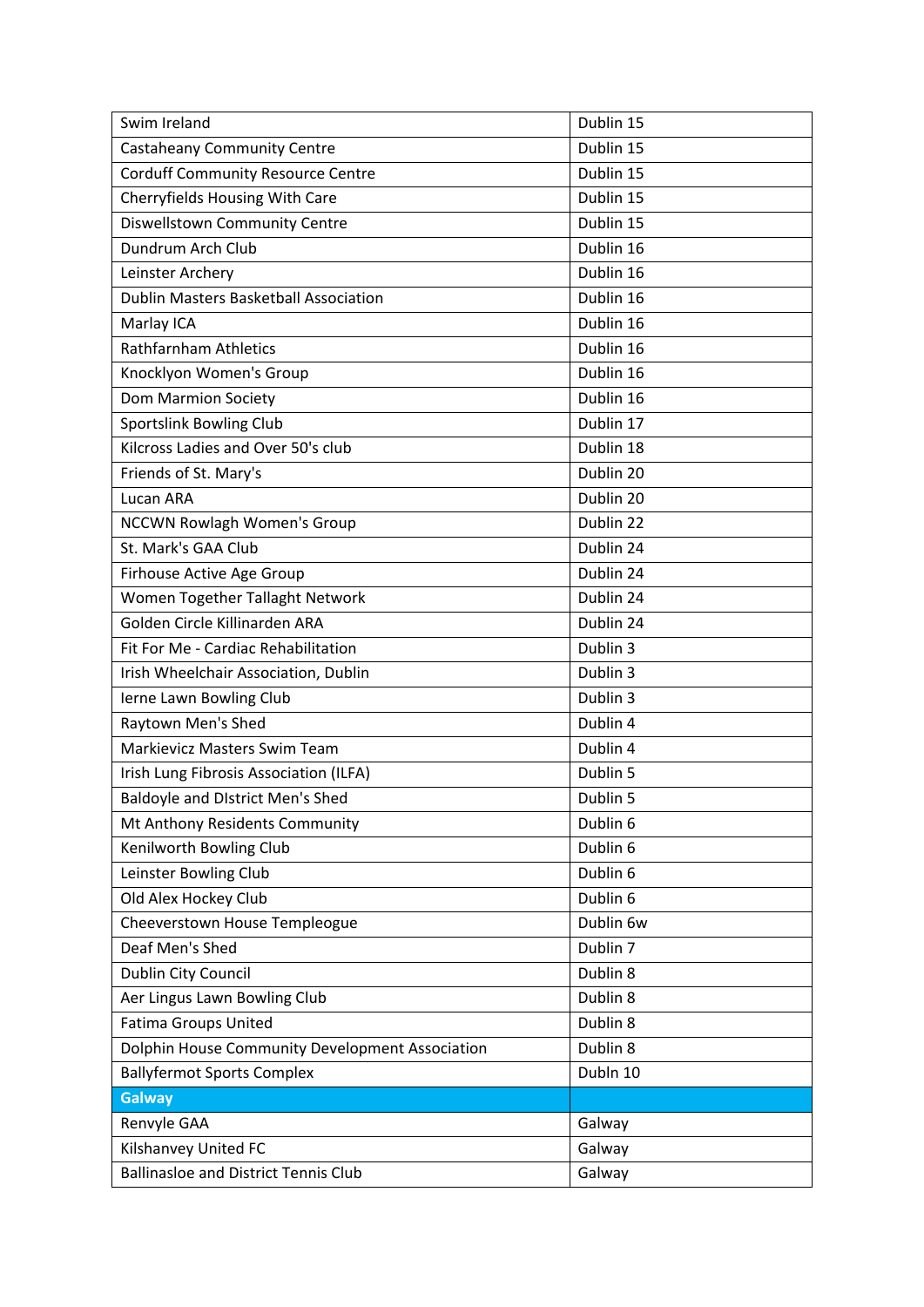| Swim Ireland                                    | Dublin 15 |
|-------------------------------------------------|-----------|
| <b>Castaheany Community Centre</b>              | Dublin 15 |
| <b>Corduff Community Resource Centre</b>        | Dublin 15 |
| Cherryfields Housing With Care                  | Dublin 15 |
| Diswellstown Community Centre                   | Dublin 15 |
| Dundrum Arch Club                               | Dublin 16 |
| Leinster Archery                                | Dublin 16 |
| <b>Dublin Masters Basketball Association</b>    | Dublin 16 |
| Marlay ICA                                      | Dublin 16 |
| <b>Rathfarnham Athletics</b>                    | Dublin 16 |
| Knocklyon Women's Group                         | Dublin 16 |
| <b>Dom Marmion Society</b>                      | Dublin 16 |
| <b>Sportslink Bowling Club</b>                  | Dublin 17 |
| Kilcross Ladies and Over 50's club              | Dublin 18 |
| Friends of St. Mary's                           | Dublin 20 |
| Lucan ARA                                       | Dublin 20 |
| <b>NCCWN Rowlagh Women's Group</b>              | Dublin 22 |
| St. Mark's GAA Club                             | Dublin 24 |
| Firhouse Active Age Group                       | Dublin 24 |
| Women Together Tallaght Network                 | Dublin 24 |
| Golden Circle Killinarden ARA                   | Dublin 24 |
| Fit For Me - Cardiac Rehabilitation             | Dublin 3  |
| Irish Wheelchair Association, Dublin            | Dublin 3  |
| Ierne Lawn Bowling Club                         | Dublin 3  |
| Raytown Men's Shed                              | Dublin 4  |
| Markievicz Masters Swim Team                    | Dublin 4  |
| Irish Lung Fibrosis Association (ILFA)          | Dublin 5  |
| <b>Baldoyle and District Men's Shed</b>         | Dublin 5  |
| Mt Anthony Residents Community                  | Dublin 6  |
| Kenilworth Bowling Club                         | Dublin 6  |
| Leinster Bowling Club                           | Dublin 6  |
| Old Alex Hockey Club                            | Dublin 6  |
| Cheeverstown House Templeogue                   | Dublin 6w |
| Deaf Men's Shed                                 | Dublin 7  |
| Dublin City Council                             | Dublin 8  |
| Aer Lingus Lawn Bowling Club                    | Dublin 8  |
| <b>Fatima Groups United</b>                     | Dublin 8  |
| Dolphin House Community Development Association | Dublin 8  |
| <b>Ballyfermot Sports Complex</b>               | Dubln 10  |
| <b>Galway</b>                                   |           |
| Renvyle GAA                                     | Galway    |
| Kilshanvey United FC                            | Galway    |
| <b>Ballinasloe and District Tennis Club</b>     | Galway    |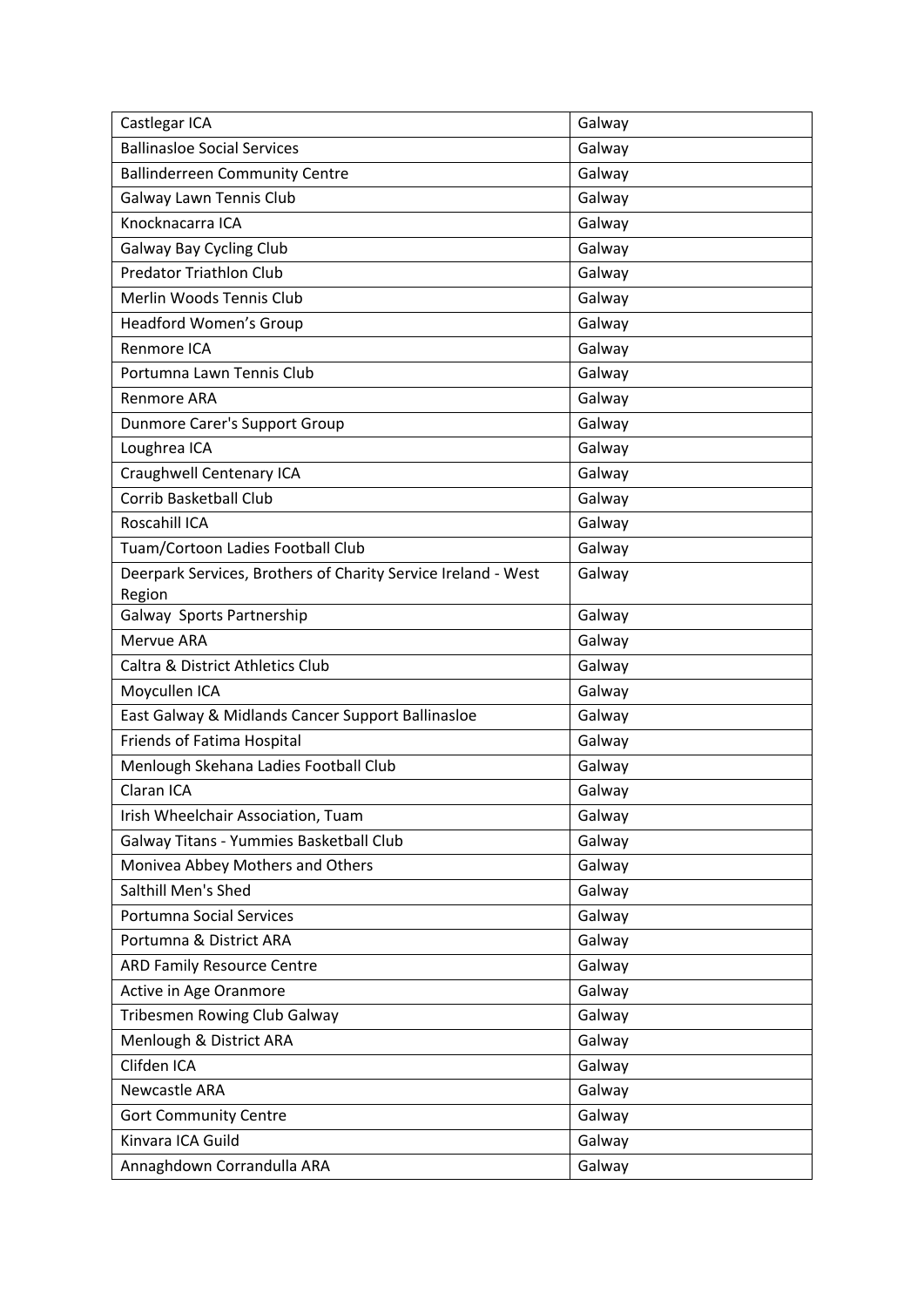| Castlegar ICA                                                           | Galway |
|-------------------------------------------------------------------------|--------|
| <b>Ballinasloe Social Services</b>                                      | Galway |
| <b>Ballinderreen Community Centre</b>                                   | Galway |
| Galway Lawn Tennis Club                                                 | Galway |
| Knocknacarra ICA                                                        | Galway |
| <b>Galway Bay Cycling Club</b>                                          | Galway |
| <b>Predator Triathlon Club</b>                                          | Galway |
| Merlin Woods Tennis Club                                                | Galway |
| <b>Headford Women's Group</b>                                           | Galway |
| Renmore ICA                                                             | Galway |
| Portumna Lawn Tennis Club                                               | Galway |
| Renmore ARA                                                             | Galway |
| Dunmore Carer's Support Group                                           | Galway |
| Loughrea ICA                                                            | Galway |
| Craughwell Centenary ICA                                                | Galway |
| <b>Corrib Basketball Club</b>                                           | Galway |
| Roscahill ICA                                                           | Galway |
| Tuam/Cortoon Ladies Football Club                                       | Galway |
| Deerpark Services, Brothers of Charity Service Ireland - West<br>Region | Galway |
| Galway Sports Partnership                                               | Galway |
| Mervue ARA                                                              | Galway |
| <b>Caltra &amp; District Athletics Club</b>                             | Galway |
| Moycullen ICA                                                           | Galway |
| East Galway & Midlands Cancer Support Ballinasloe                       | Galway |
| <b>Friends of Fatima Hospital</b>                                       | Galway |
| Menlough Skehana Ladies Football Club                                   | Galway |
| Claran ICA                                                              | Galway |
| Irish Wheelchair Association, Tuam                                      | Galway |
| Galway Titans - Yummies Basketball Club                                 | Galway |
| Monivea Abbey Mothers and Others                                        | Galway |
| Salthill Men's Shed                                                     | Galway |
| <b>Portumna Social Services</b>                                         | Galway |
| Portumna & District ARA                                                 | Galway |
| <b>ARD Family Resource Centre</b>                                       | Galway |
| Active in Age Oranmore                                                  | Galway |
| <b>Tribesmen Rowing Club Galway</b>                                     | Galway |
| Menlough & District ARA                                                 | Galway |
| Clifden ICA                                                             | Galway |
| <b>Newcastle ARA</b>                                                    | Galway |
| <b>Gort Community Centre</b>                                            | Galway |
| Kinvara ICA Guild                                                       | Galway |
| Annaghdown Corrandulla ARA                                              | Galway |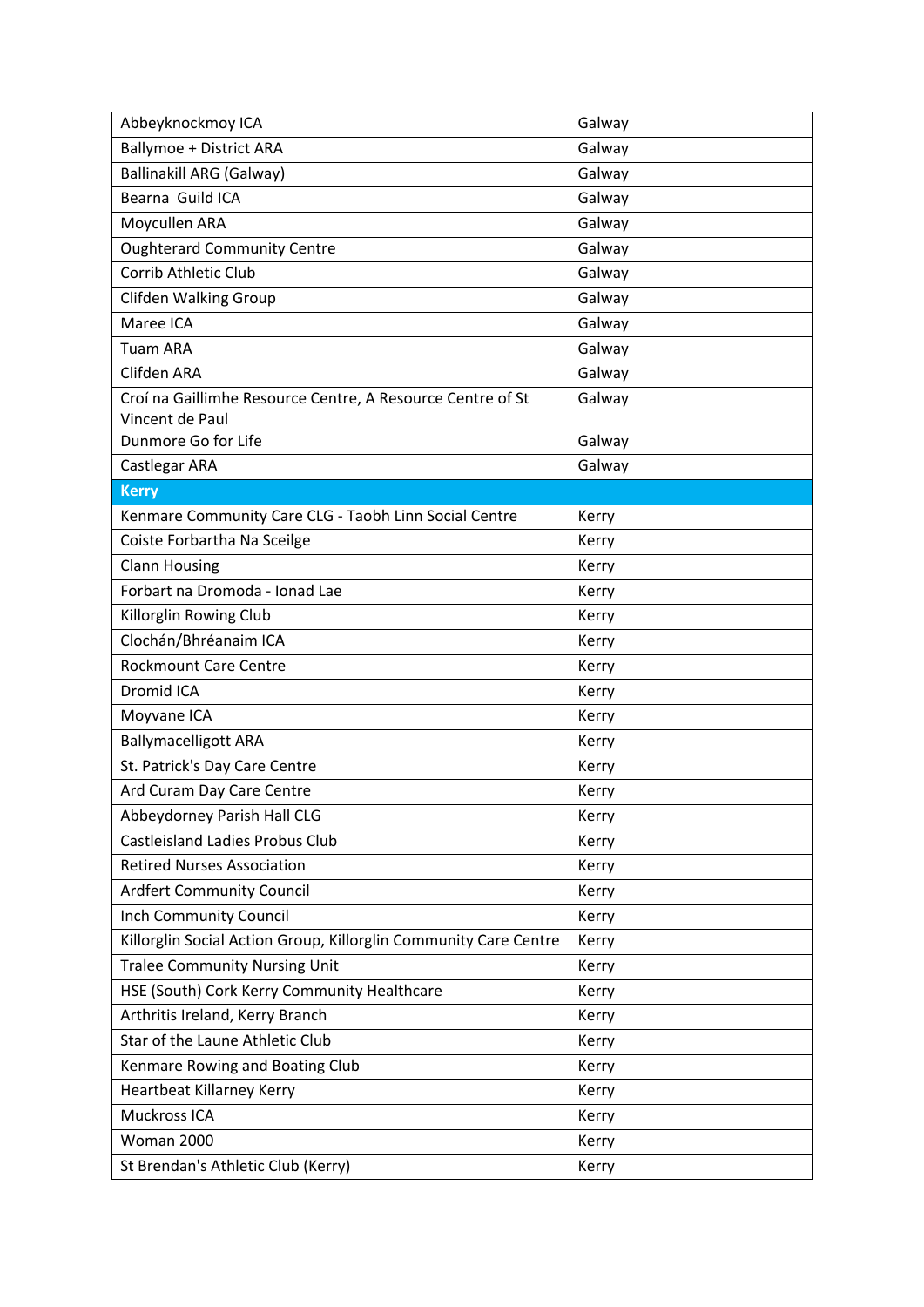| Abbeyknockmoy ICA                                                             | Galway |
|-------------------------------------------------------------------------------|--------|
| <b>Ballymoe + District ARA</b>                                                | Galway |
| <b>Ballinakill ARG (Galway)</b>                                               | Galway |
| Bearna Guild ICA                                                              | Galway |
| Moycullen ARA                                                                 | Galway |
| <b>Oughterard Community Centre</b>                                            | Galway |
| <b>Corrib Athletic Club</b>                                                   | Galway |
| Clifden Walking Group                                                         | Galway |
| Maree ICA                                                                     | Galway |
| <b>Tuam ARA</b>                                                               | Galway |
| Clifden ARA                                                                   | Galway |
| Croí na Gaillimhe Resource Centre, A Resource Centre of St<br>Vincent de Paul | Galway |
| Dunmore Go for Life                                                           | Galway |
| Castlegar ARA                                                                 | Galway |
| <b>Kerry</b>                                                                  |        |
| Kenmare Community Care CLG - Taobh Linn Social Centre                         | Kerry  |
| Coiste Forbartha Na Sceilge                                                   | Kerry  |
| <b>Clann Housing</b>                                                          | Kerry  |
| Forbart na Dromoda - Ionad Lae                                                | Kerry  |
| Killorglin Rowing Club                                                        | Kerry  |
| Clochán/Bhréanaim ICA                                                         | Kerry  |
| <b>Rockmount Care Centre</b>                                                  | Kerry  |
| Dromid ICA                                                                    | Kerry  |
| Moyvane ICA                                                                   | Kerry  |
| <b>Ballymacelligott ARA</b>                                                   | Kerry  |
| St. Patrick's Day Care Centre                                                 | Kerry  |
| Ard Curam Day Care Centre                                                     | Kerry  |
| Abbeydorney Parish Hall CLG                                                   | Kerry  |
| <b>Castleisland Ladies Probus Club</b>                                        | Kerry  |
| <b>Retired Nurses Association</b>                                             | Kerry  |
| <b>Ardfert Community Council</b>                                              | Kerry  |
| <b>Inch Community Council</b>                                                 | Kerry  |
| Killorglin Social Action Group, Killorglin Community Care Centre              | Kerry  |
| <b>Tralee Community Nursing Unit</b>                                          | Kerry  |
| HSE (South) Cork Kerry Community Healthcare                                   | Kerry  |
| Arthritis Ireland, Kerry Branch                                               | Kerry  |
| Star of the Laune Athletic Club                                               | Kerry  |
| Kenmare Rowing and Boating Club                                               | Kerry  |
| Heartbeat Killarney Kerry                                                     | Kerry  |
| Muckross ICA                                                                  | Kerry  |
| Woman 2000                                                                    | Kerry  |
| St Brendan's Athletic Club (Kerry)                                            | Kerry  |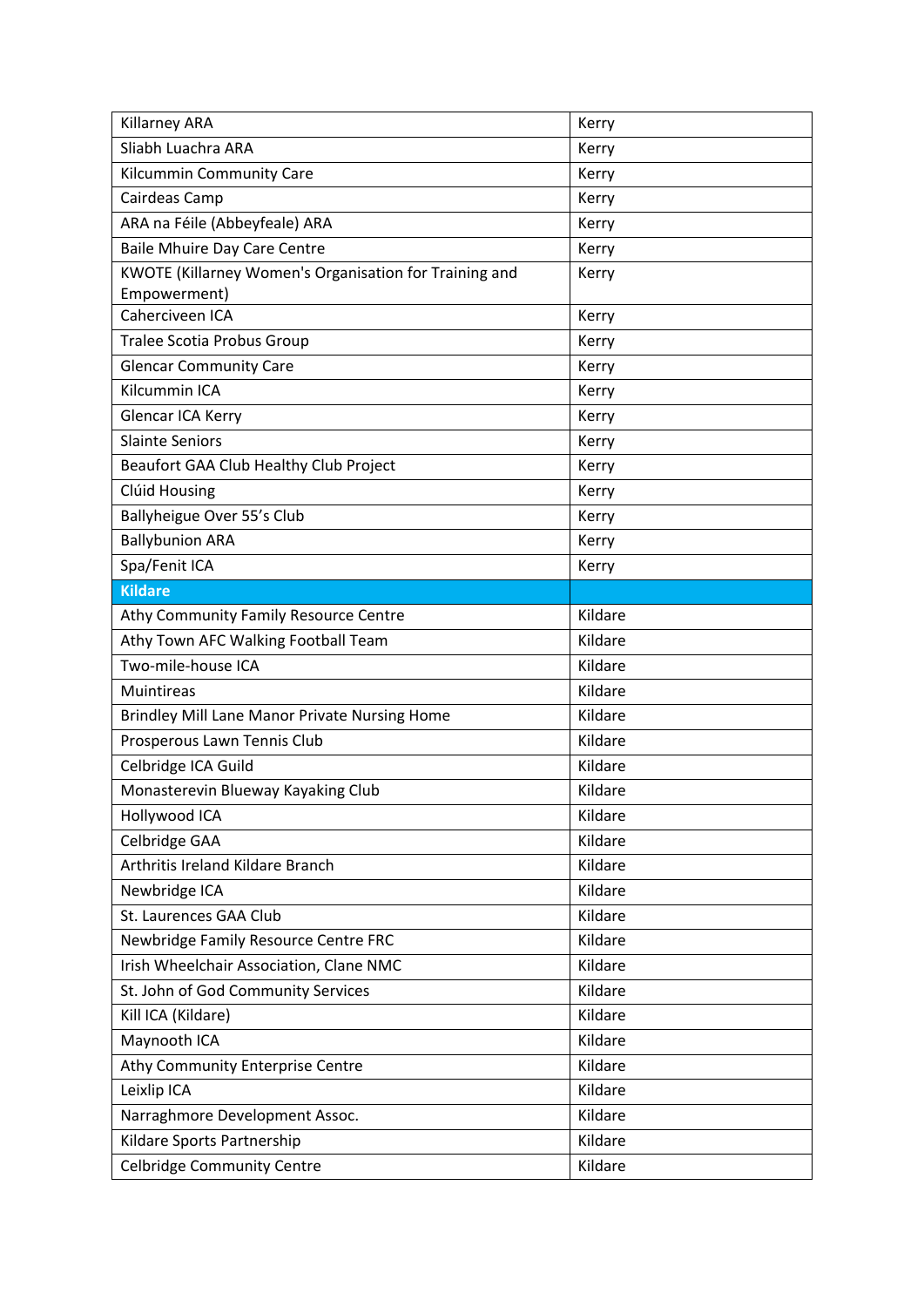| Killarney ARA                                                          | Kerry   |
|------------------------------------------------------------------------|---------|
| Sliabh Luachra ARA                                                     | Kerry   |
| Kilcummin Community Care                                               | Kerry   |
| Cairdeas Camp                                                          | Kerry   |
| ARA na Féile (Abbeyfeale) ARA                                          | Kerry   |
| Baile Mhuire Day Care Centre                                           | Kerry   |
| KWOTE (Killarney Women's Organisation for Training and<br>Empowerment) | Kerry   |
| Caherciveen ICA                                                        | Kerry   |
| <b>Tralee Scotia Probus Group</b>                                      | Kerry   |
| <b>Glencar Community Care</b>                                          | Kerry   |
| Kilcummin ICA                                                          | Kerry   |
| Glencar ICA Kerry                                                      | Kerry   |
| <b>Slainte Seniors</b>                                                 | Kerry   |
| Beaufort GAA Club Healthy Club Project                                 | Kerry   |
| Clúid Housing                                                          | Kerry   |
| Ballyheigue Over 55's Club                                             | Kerry   |
| <b>Ballybunion ARA</b>                                                 | Kerry   |
| Spa/Fenit ICA                                                          | Kerry   |
| <b>Kildare</b>                                                         |         |
| Athy Community Family Resource Centre                                  | Kildare |
| Athy Town AFC Walking Football Team                                    | Kildare |
| Two-mile-house ICA                                                     | Kildare |
| <b>Muintireas</b>                                                      | Kildare |
| Brindley Mill Lane Manor Private Nursing Home                          | Kildare |
| Prosperous Lawn Tennis Club                                            | Kildare |
| Celbridge ICA Guild                                                    | Kildare |
| Monasterevin Blueway Kayaking Club                                     | Kildare |
| Hollywood ICA                                                          | Kildare |
| Celbridge GAA                                                          | Kildare |
| Arthritis Ireland Kildare Branch                                       | Kildare |
| Newbridge ICA                                                          | Kildare |
| St. Laurences GAA Club                                                 | Kildare |
| Newbridge Family Resource Centre FRC                                   | Kildare |
| Irish Wheelchair Association, Clane NMC                                | Kildare |
| St. John of God Community Services                                     | Kildare |
| Kill ICA (Kildare)                                                     | Kildare |
| Maynooth ICA                                                           | Kildare |
| Athy Community Enterprise Centre                                       | Kildare |
| Leixlip ICA                                                            | Kildare |
| Narraghmore Development Assoc.                                         | Kildare |
| Kildare Sports Partnership                                             | Kildare |
| Celbridge Community Centre                                             | Kildare |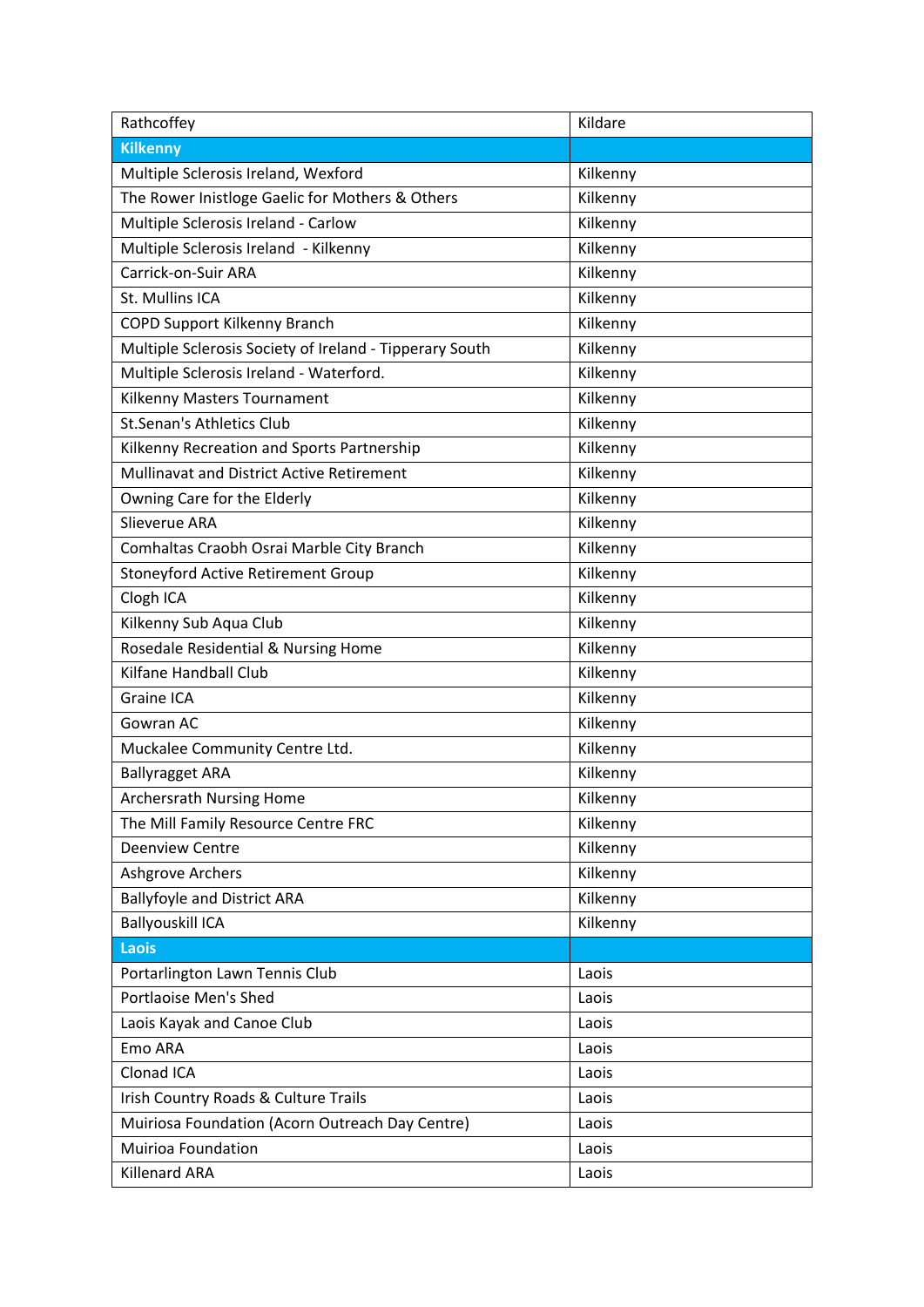| Rathcoffey                                              | Kildare  |
|---------------------------------------------------------|----------|
| <b>Kilkenny</b>                                         |          |
| Multiple Sclerosis Ireland, Wexford                     | Kilkenny |
| The Rower Inistloge Gaelic for Mothers & Others         | Kilkenny |
| Multiple Sclerosis Ireland - Carlow                     | Kilkenny |
| Multiple Sclerosis Ireland - Kilkenny                   | Kilkenny |
| Carrick-on-Suir ARA                                     | Kilkenny |
| St. Mullins ICA                                         | Kilkenny |
| <b>COPD Support Kilkenny Branch</b>                     | Kilkenny |
| Multiple Sclerosis Society of Ireland - Tipperary South | Kilkenny |
| Multiple Sclerosis Ireland - Waterford.                 | Kilkenny |
| Kilkenny Masters Tournament                             | Kilkenny |
| <b>St.Senan's Athletics Club</b>                        | Kilkenny |
| Kilkenny Recreation and Sports Partnership              | Kilkenny |
| Mullinavat and District Active Retirement               | Kilkenny |
| Owning Care for the Elderly                             | Kilkenny |
| Slieverue ARA                                           | Kilkenny |
| Comhaltas Craobh Osrai Marble City Branch               | Kilkenny |
| Stoneyford Active Retirement Group                      | Kilkenny |
| Clogh ICA                                               | Kilkenny |
| Kilkenny Sub Aqua Club                                  | Kilkenny |
| Rosedale Residential & Nursing Home                     | Kilkenny |
| Kilfane Handball Club                                   | Kilkenny |
| Graine ICA                                              | Kilkenny |
| Gowran AC                                               | Kilkenny |
| Muckalee Community Centre Ltd.                          | Kilkenny |
| <b>Ballyragget ARA</b>                                  | Kilkenny |
| <b>Archersrath Nursing Home</b>                         | Kilkenny |
| The Mill Family Resource Centre FRC                     | Kilkenny |
| <b>Deenview Centre</b>                                  | Kilkenny |
| Ashgrove Archers                                        | Kilkenny |
| <b>Ballyfoyle and District ARA</b>                      | Kilkenny |
| <b>Ballyouskill ICA</b>                                 | Kilkenny |
| <b>Laois</b>                                            |          |
| Portarlington Lawn Tennis Club                          | Laois    |
| <b>Portlaoise Men's Shed</b>                            | Laois    |
| Laois Kayak and Canoe Club                              | Laois    |
| Emo ARA                                                 | Laois    |
| Clonad ICA                                              | Laois    |
| Irish Country Roads & Culture Trails                    | Laois    |
| Muiriosa Foundation (Acorn Outreach Day Centre)         | Laois    |
| <b>Muirioa Foundation</b>                               | Laois    |
| <b>Killenard ARA</b>                                    | Laois    |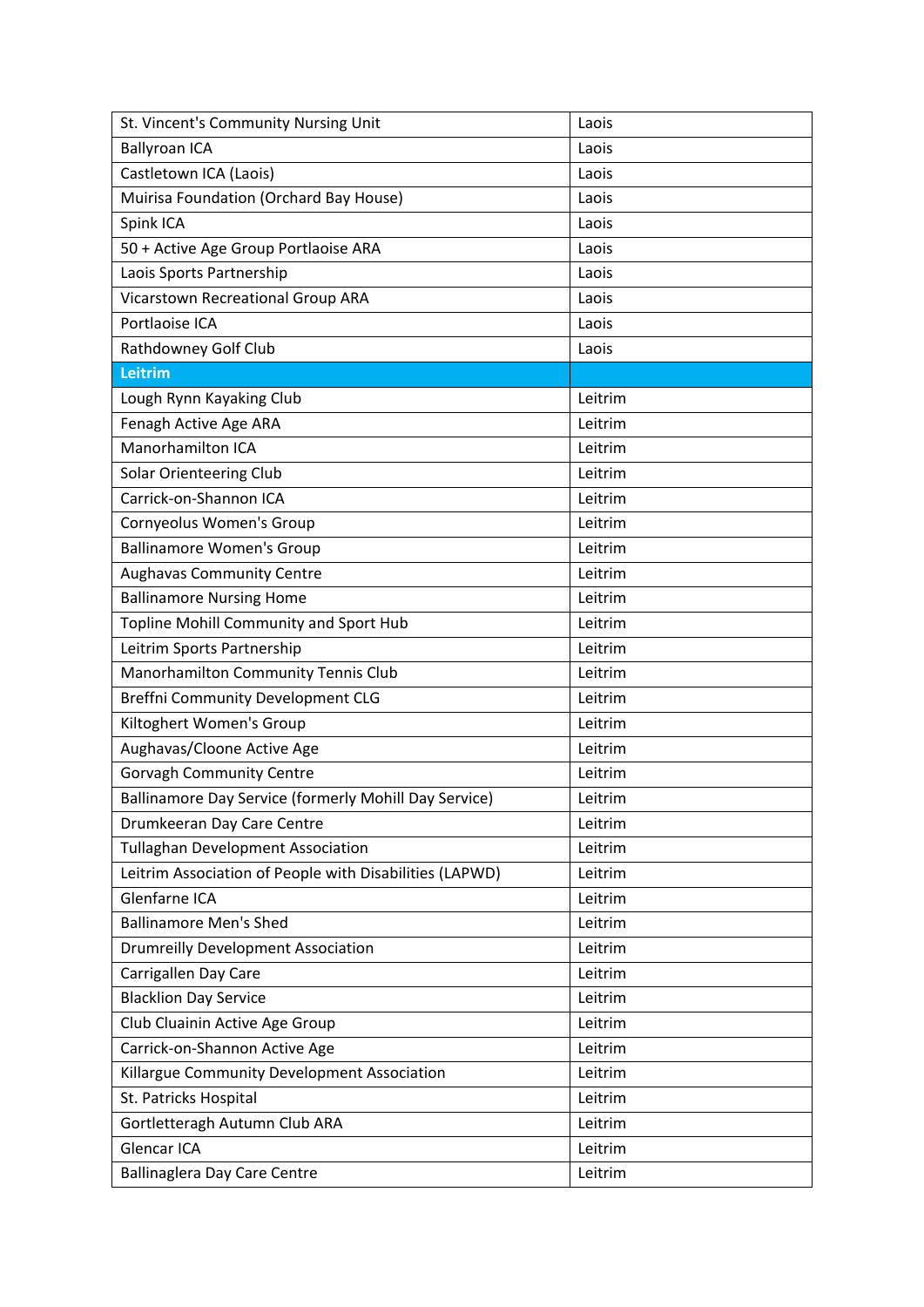| St. Vincent's Community Nursing Unit                    | Laois   |
|---------------------------------------------------------|---------|
| <b>Ballyroan ICA</b>                                    | Laois   |
| Castletown ICA (Laois)                                  | Laois   |
| Muirisa Foundation (Orchard Bay House)                  | Laois   |
| Spink ICA                                               | Laois   |
| 50 + Active Age Group Portlaoise ARA                    | Laois   |
| Laois Sports Partnership                                | Laois   |
| Vicarstown Recreational Group ARA                       | Laois   |
| Portlaoise ICA                                          | Laois   |
| Rathdowney Golf Club                                    | Laois   |
| Leitrim                                                 |         |
| Lough Rynn Kayaking Club                                | Leitrim |
| Fenagh Active Age ARA                                   | Leitrim |
| Manorhamilton ICA                                       | Leitrim |
| <b>Solar Orienteering Club</b>                          | Leitrim |
| Carrick-on-Shannon ICA                                  | Leitrim |
| Cornyeolus Women's Group                                | Leitrim |
| <b>Ballinamore Women's Group</b>                        | Leitrim |
| <b>Aughavas Community Centre</b>                        | Leitrim |
| <b>Ballinamore Nursing Home</b>                         | Leitrim |
| Topline Mohill Community and Sport Hub                  | Leitrim |
| Leitrim Sports Partnership                              | Leitrim |
| Manorhamilton Community Tennis Club                     | Leitrim |
| <b>Breffni Community Development CLG</b>                | Leitrim |
| Kiltoghert Women's Group                                | Leitrim |
| Aughavas/Cloone Active Age                              | Leitrim |
| <b>Gorvagh Community Centre</b>                         | Leitrim |
| Ballinamore Day Service (formerly Mohill Day Service)   | Leitrim |
| Drumkeeran Day Care Centre                              | Leitrim |
| <b>Tullaghan Development Association</b>                | Leitrim |
| Leitrim Association of People with Disabilities (LAPWD) | Leitrim |
| Glenfarne ICA                                           | Leitrim |
| <b>Ballinamore Men's Shed</b>                           | Leitrim |
| <b>Drumreilly Development Association</b>               | Leitrim |
| Carrigallen Day Care                                    | Leitrim |
| <b>Blacklion Day Service</b>                            | Leitrim |
| Club Cluainin Active Age Group                          | Leitrim |
| Carrick-on-Shannon Active Age                           | Leitrim |
| Killargue Community Development Association             | Leitrim |
| St. Patricks Hospital                                   | Leitrim |
| Gortletteragh Autumn Club ARA                           | Leitrim |
| Glencar ICA                                             | Leitrim |
| <b>Ballinaglera Day Care Centre</b>                     | Leitrim |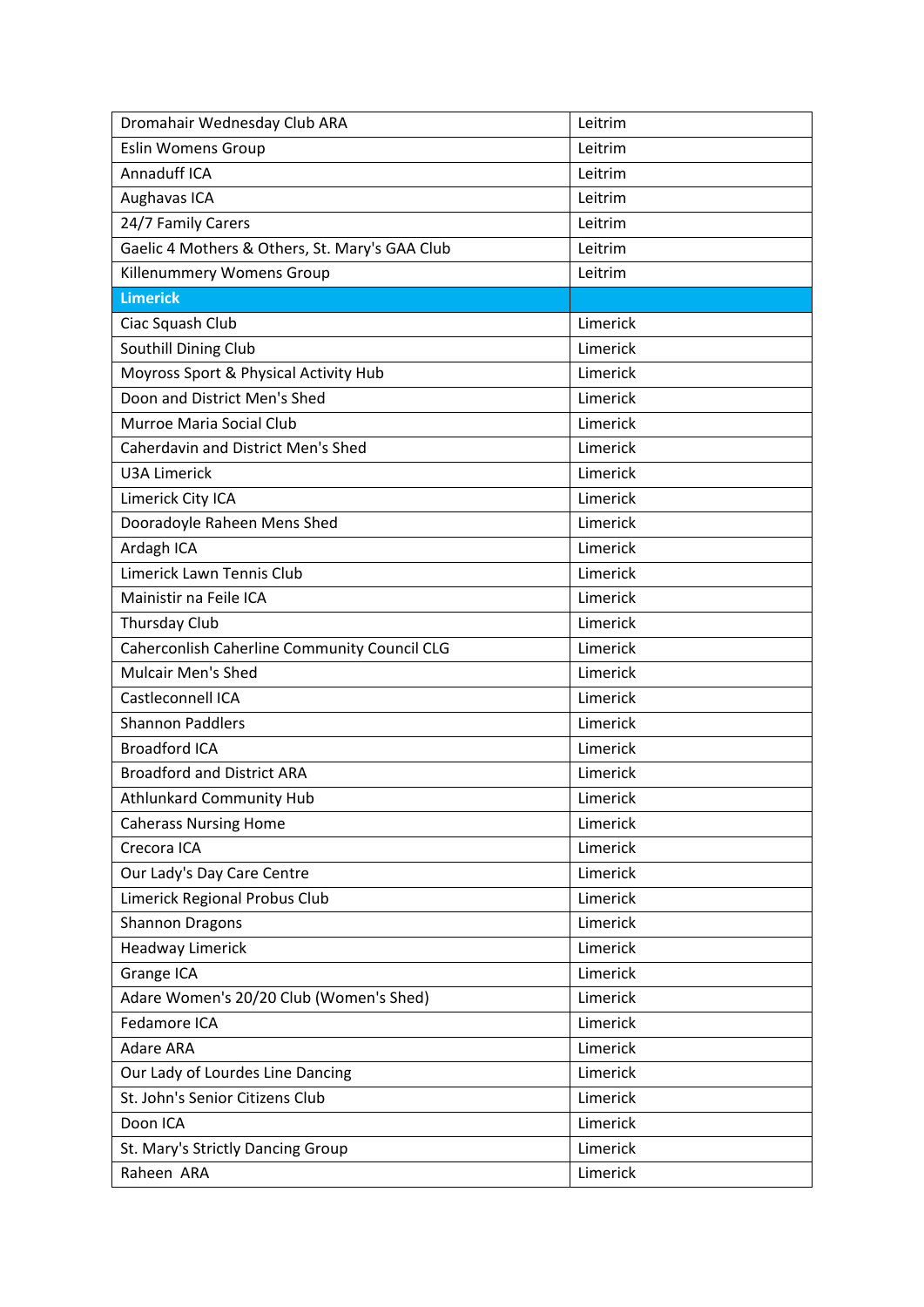| Dromahair Wednesday Club ARA                   | Leitrim  |
|------------------------------------------------|----------|
| <b>Eslin Womens Group</b>                      | Leitrim  |
| Annaduff ICA                                   | Leitrim  |
| Aughavas ICA                                   | Leitrim  |
| 24/7 Family Carers                             | Leitrim  |
| Gaelic 4 Mothers & Others, St. Mary's GAA Club | Leitrim  |
| Killenummery Womens Group                      | Leitrim  |
| <b>Limerick</b>                                |          |
| Ciac Squash Club                               | Limerick |
| Southill Dining Club                           | Limerick |
| Moyross Sport & Physical Activity Hub          | Limerick |
| Doon and District Men's Shed                   | Limerick |
| Murroe Maria Social Club                       | Limerick |
| <b>Caherdavin and District Men's Shed</b>      | Limerick |
| <b>U3A Limerick</b>                            | Limerick |
| Limerick City ICA                              | Limerick |
| Dooradoyle Raheen Mens Shed                    | Limerick |
| Ardagh ICA                                     | Limerick |
| Limerick Lawn Tennis Club                      | Limerick |
| Mainistir na Feile ICA                         | Limerick |
| Thursday Club                                  | Limerick |
| Caherconlish Caherline Community Council CLG   | Limerick |
| <b>Mulcair Men's Shed</b>                      | Limerick |
| Castleconnell ICA                              | Limerick |
| <b>Shannon Paddlers</b>                        | Limerick |
| <b>Broadford ICA</b>                           | Limerick |
| <b>Broadford and District ARA</b>              | Limerick |
| <b>Athlunkard Community Hub</b>                | Limerick |
| <b>Caherass Nursing Home</b>                   | Limerick |
| Crecora ICA                                    | Limerick |
| Our Lady's Day Care Centre                     | Limerick |
| Limerick Regional Probus Club                  | Limerick |
| <b>Shannon Dragons</b>                         | Limerick |
| <b>Headway Limerick</b>                        | Limerick |
| Grange ICA                                     | Limerick |
| Adare Women's 20/20 Club (Women's Shed)        | Limerick |
| Fedamore ICA                                   | Limerick |
| <b>Adare ARA</b>                               | Limerick |
| Our Lady of Lourdes Line Dancing               | Limerick |
| St. John's Senior Citizens Club                | Limerick |
| Doon ICA                                       | Limerick |
| St. Mary's Strictly Dancing Group              | Limerick |
| Raheen ARA                                     | Limerick |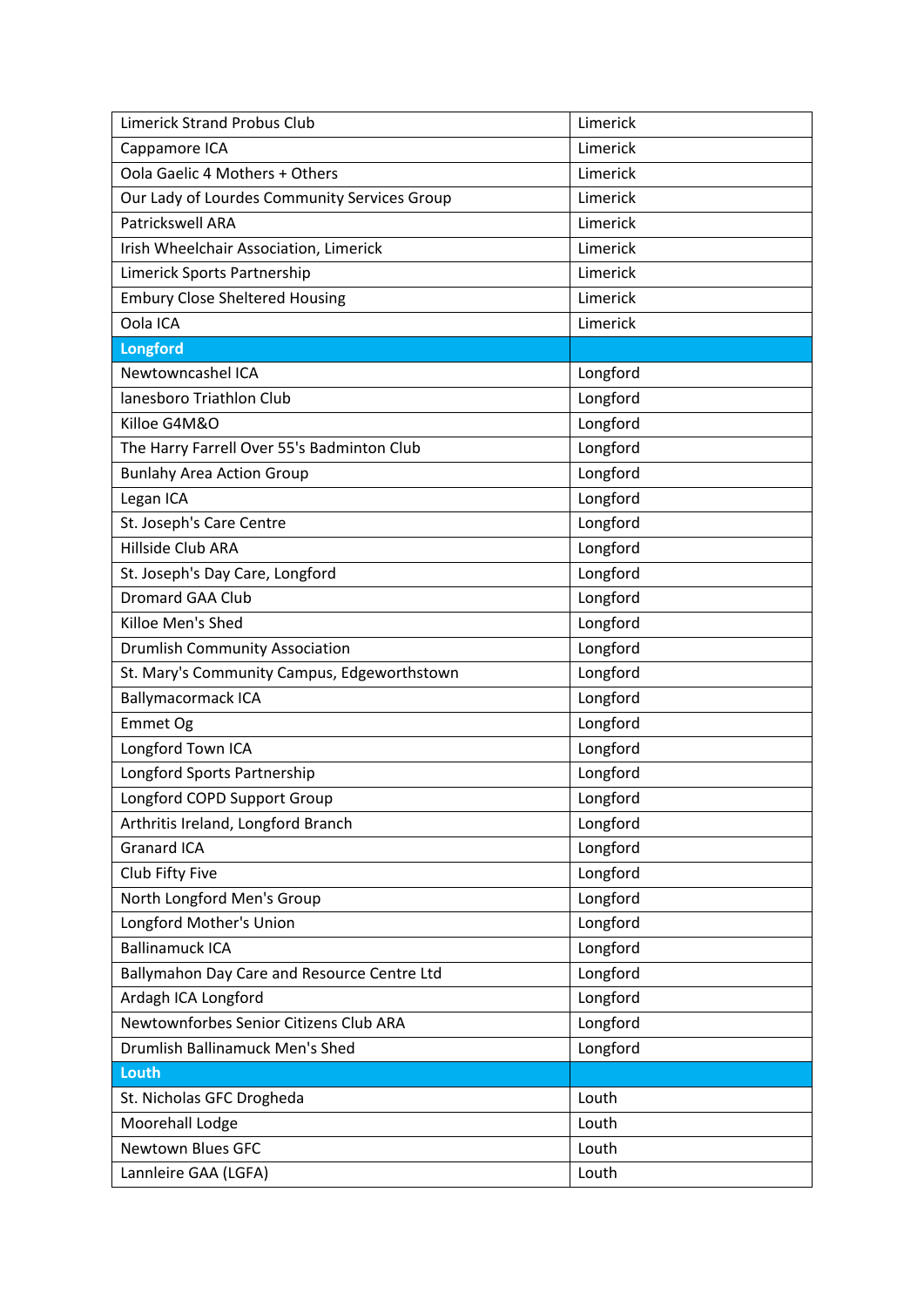| <b>Limerick Strand Probus Club</b>           | Limerick |
|----------------------------------------------|----------|
| Cappamore ICA                                | Limerick |
| Oola Gaelic 4 Mothers + Others               | Limerick |
| Our Lady of Lourdes Community Services Group | Limerick |
| <b>Patrickswell ARA</b>                      | Limerick |
| Irish Wheelchair Association, Limerick       | Limerick |
| Limerick Sports Partnership                  | Limerick |
| <b>Embury Close Sheltered Housing</b>        | Limerick |
| Oola ICA                                     | Limerick |
| <b>Longford</b>                              |          |
| Newtowncashel ICA                            | Longford |
| lanesboro Triathlon Club                     | Longford |
| Killoe G4M&O                                 | Longford |
| The Harry Farrell Over 55's Badminton Club   | Longford |
| <b>Bunlahy Area Action Group</b>             | Longford |
| Legan ICA                                    | Longford |
| St. Joseph's Care Centre                     | Longford |
| Hillside Club ARA                            | Longford |
| St. Joseph's Day Care, Longford              | Longford |
| Dromard GAA Club                             | Longford |
| Killoe Men's Shed                            | Longford |
| <b>Drumlish Community Association</b>        | Longford |
| St. Mary's Community Campus, Edgeworthstown  | Longford |
| <b>Ballymacormack ICA</b>                    | Longford |
| Emmet Og                                     | Longford |
| Longford Town ICA                            | Longford |
| Longford Sports Partnership                  | Longford |
| Longford COPD Support Group                  | Longford |
| Arthritis Ireland, Longford Branch           | Longford |
| <b>Granard ICA</b>                           | Longford |
| Club Fifty Five                              | Longford |
| North Longford Men's Group                   | Longford |
| Longford Mother's Union                      | Longford |
| <b>Ballinamuck ICA</b>                       | Longford |
| Ballymahon Day Care and Resource Centre Ltd  | Longford |
| Ardagh ICA Longford                          | Longford |
| Newtownforbes Senior Citizens Club ARA       | Longford |
| Drumlish Ballinamuck Men's Shed              | Longford |
| Louth                                        |          |
| St. Nicholas GFC Drogheda                    | Louth    |
| Moorehall Lodge                              | Louth    |
| <b>Newtown Blues GFC</b>                     | Louth    |
| Lannleire GAA (LGFA)                         | Louth    |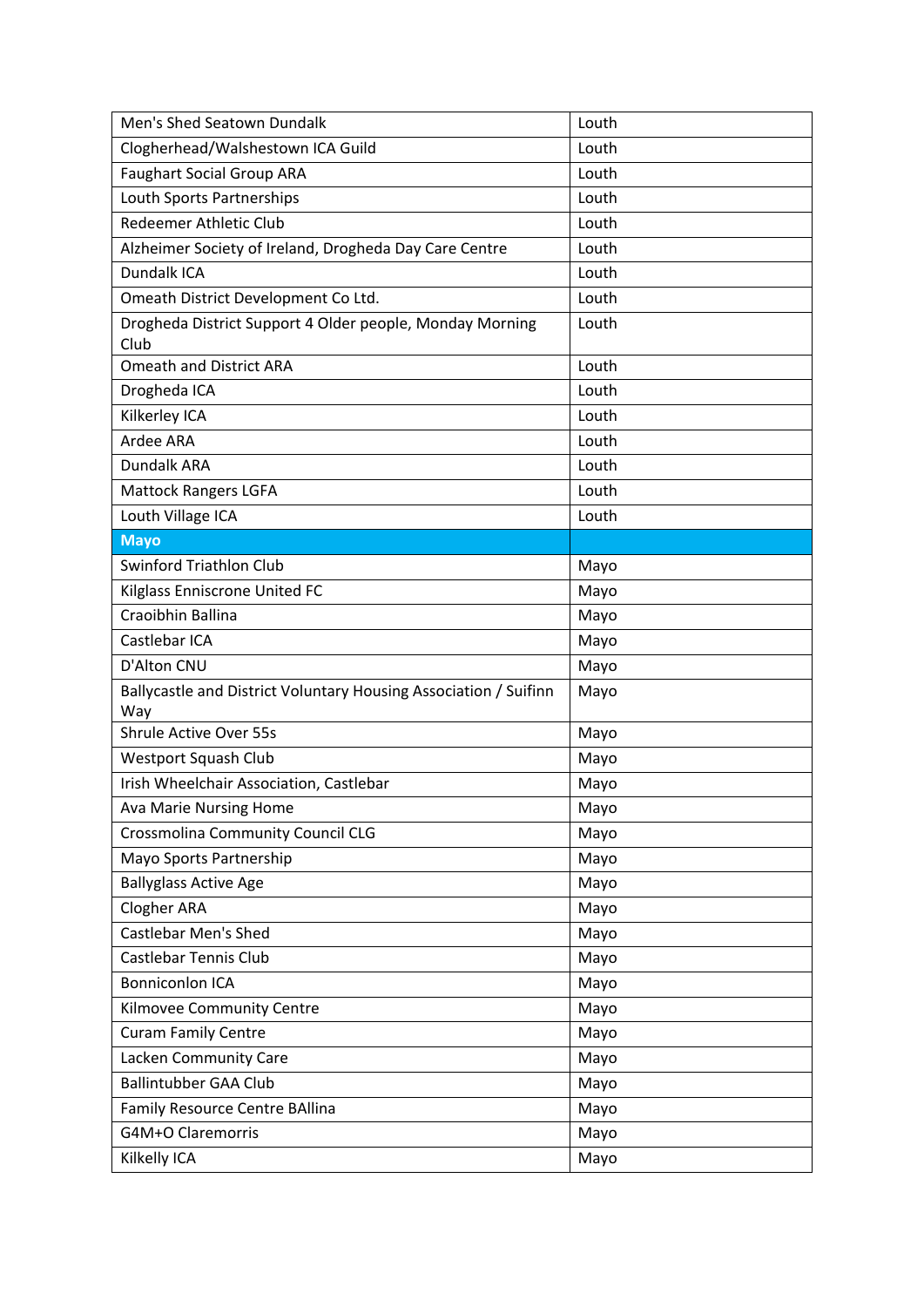| Men's Shed Seatown Dundalk                                       | Louth |
|------------------------------------------------------------------|-------|
| Clogherhead/Walshestown ICA Guild                                | Louth |
| <b>Faughart Social Group ARA</b>                                 | Louth |
| Louth Sports Partnerships                                        | Louth |
| Redeemer Athletic Club                                           | Louth |
| Alzheimer Society of Ireland, Drogheda Day Care Centre           | Louth |
| Dundalk ICA                                                      | Louth |
| Omeath District Development Co Ltd.                              | Louth |
| Drogheda District Support 4 Older people, Monday Morning         | Louth |
| Club                                                             |       |
| <b>Omeath and District ARA</b>                                   | Louth |
| Drogheda ICA                                                     | Louth |
| Kilkerley ICA                                                    | Louth |
| Ardee ARA                                                        | Louth |
| Dundalk ARA                                                      | Louth |
| <b>Mattock Rangers LGFA</b>                                      | Louth |
| Louth Village ICA                                                | Louth |
| <b>Mayo</b>                                                      |       |
| <b>Swinford Triathlon Club</b>                                   | Mayo  |
| Kilglass Enniscrone United FC                                    | Mayo  |
| Craoibhin Ballina                                                | Mayo  |
| Castlebar ICA                                                    | Mayo  |
| D'Alton CNU                                                      | Mayo  |
| Ballycastle and District Voluntary Housing Association / Suifinn | Mayo  |
| Way                                                              |       |
| <b>Shrule Active Over 55s</b>                                    | Mayo  |
| Westport Squash Club                                             | Mayo  |
| Irish Wheelchair Association, Castlebar                          | Mayo  |
| <b>Ava Marie Nursing Home</b>                                    | Mayo  |
| Crossmolina Community Council CLG                                | Mayo  |
| Mayo Sports Partnership                                          | Mayo  |
| <b>Ballyglass Active Age</b>                                     | Mayo  |
| <b>Clogher ARA</b>                                               | Mayo  |
| <b>Castlebar Men's Shed</b>                                      | Mayo  |
| <b>Castlebar Tennis Club</b>                                     | Mayo  |
| <b>Bonniconlon ICA</b>                                           | Mayo  |
| Kilmovee Community Centre                                        | Mayo  |
| <b>Curam Family Centre</b>                                       | Mayo  |
| Lacken Community Care                                            | Mayo  |
| <b>Ballintubber GAA Club</b>                                     | Mayo  |
| Family Resource Centre BAllina                                   | Mayo  |
| G4M+O Claremorris                                                | Mayo  |
| Kilkelly ICA                                                     | Mayo  |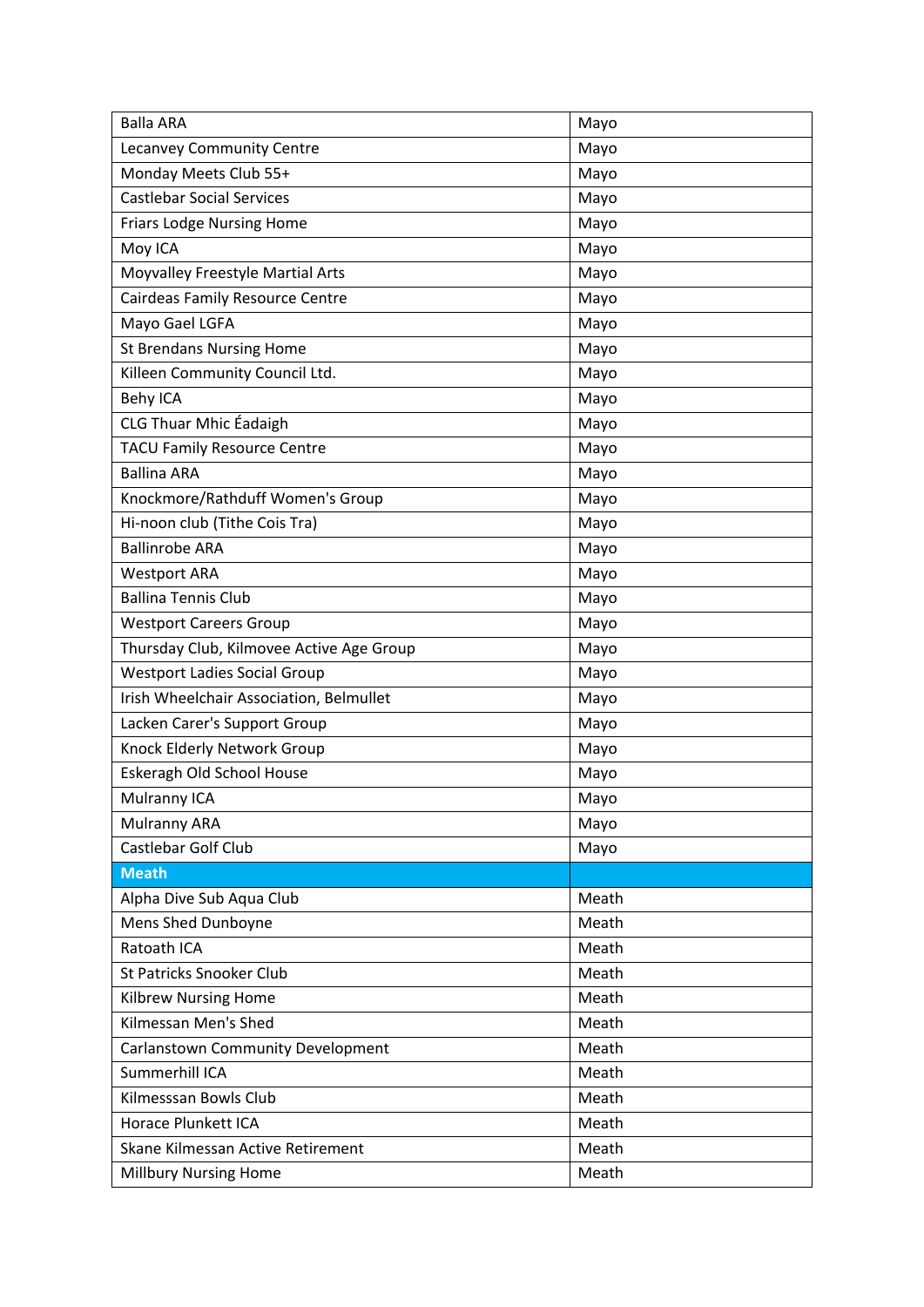| <b>Balla ARA</b>                         | Mayo  |
|------------------------------------------|-------|
| Lecanvey Community Centre                | Mayo  |
| Monday Meets Club 55+                    | Mayo  |
| <b>Castlebar Social Services</b>         | Mayo  |
| <b>Friars Lodge Nursing Home</b>         | Mayo  |
| Moy ICA                                  | Mayo  |
| Moyvalley Freestyle Martial Arts         | Mayo  |
| Cairdeas Family Resource Centre          | Mayo  |
| Mayo Gael LGFA                           | Mayo  |
| <b>St Brendans Nursing Home</b>          | Mayo  |
| Killeen Community Council Ltd.           | Mayo  |
| <b>Behy ICA</b>                          | Mayo  |
| <b>CLG Thuar Mhic Éadaigh</b>            | Mayo  |
| <b>TACU Family Resource Centre</b>       | Mayo  |
| <b>Ballina ARA</b>                       | Mayo  |
| Knockmore/Rathduff Women's Group         | Mayo  |
| Hi-noon club (Tithe Cois Tra)            | Mayo  |
| <b>Ballinrobe ARA</b>                    | Mayo  |
| <b>Westport ARA</b>                      | Mayo  |
| <b>Ballina Tennis Club</b>               | Mayo  |
| <b>Westport Careers Group</b>            | Mayo  |
| Thursday Club, Kilmovee Active Age Group | Mayo  |
| <b>Westport Ladies Social Group</b>      | Mayo  |
| Irish Wheelchair Association, Belmullet  | Mayo  |
| Lacken Carer's Support Group             | Mayo  |
| Knock Elderly Network Group              | Mayo  |
| Eskeragh Old School House                | Mayo  |
| Mulranny ICA                             | Mayo  |
| Mulranny ARA                             | Mayo  |
| Castlebar Golf Club                      | Mayo  |
| <b>Meath</b>                             |       |
| Alpha Dive Sub Aqua Club                 | Meath |
| Mens Shed Dunboyne                       | Meath |
| Ratoath ICA                              | Meath |
| <b>St Patricks Snooker Club</b>          | Meath |
| <b>Kilbrew Nursing Home</b>              | Meath |
| Kilmessan Men's Shed                     | Meath |
| <b>Carlanstown Community Development</b> | Meath |
| Summerhill ICA                           | Meath |
| Kilmesssan Bowls Club                    | Meath |
| <b>Horace Plunkett ICA</b>               | Meath |
| Skane Kilmessan Active Retirement        | Meath |
| <b>Millbury Nursing Home</b>             | Meath |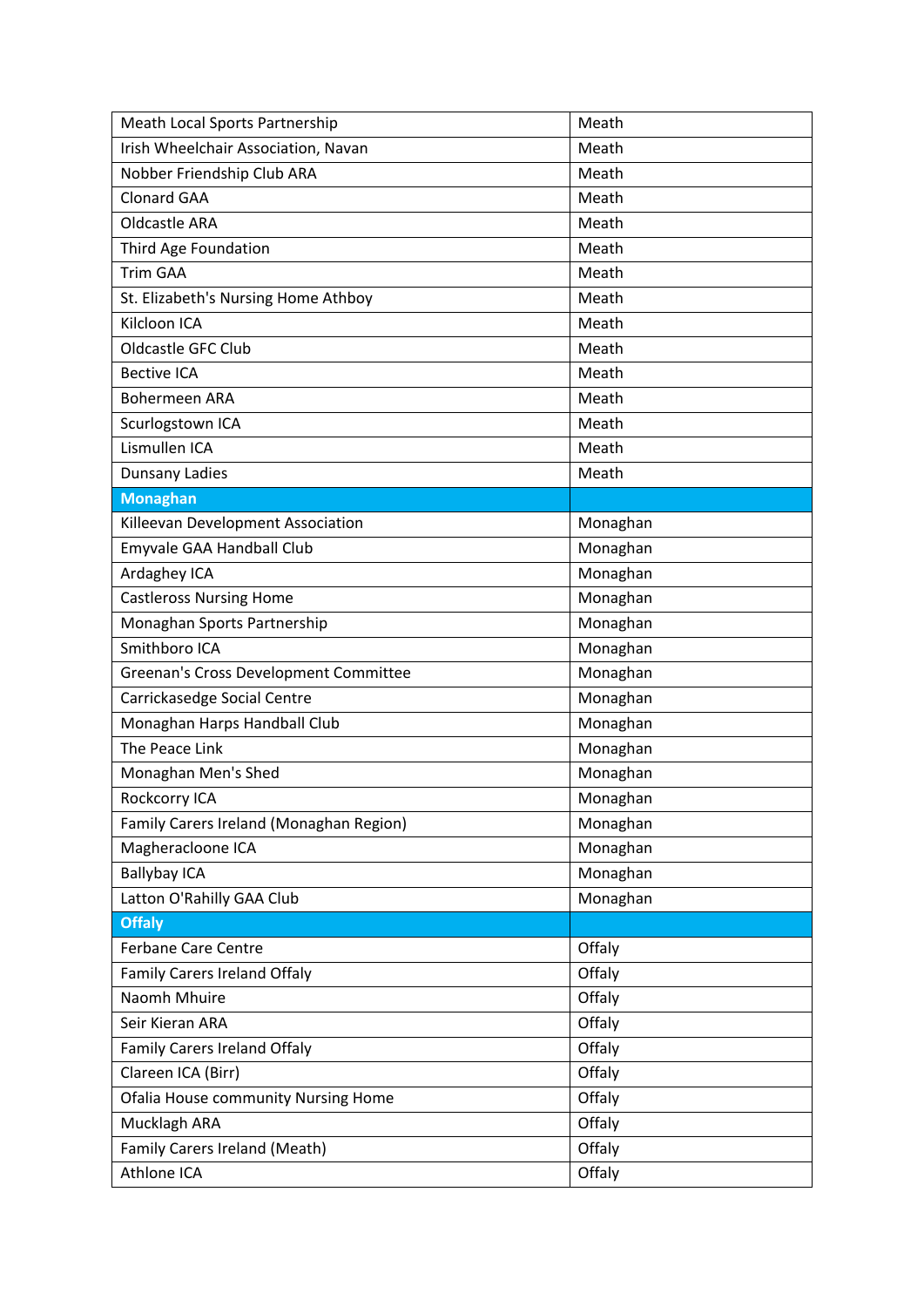| Meath Local Sports Partnership             | Meath    |
|--------------------------------------------|----------|
| Irish Wheelchair Association, Navan        | Meath    |
| Nobber Friendship Club ARA                 | Meath    |
| <b>Clonard GAA</b>                         | Meath    |
| <b>Oldcastle ARA</b>                       | Meath    |
| Third Age Foundation                       | Meath    |
| <b>Trim GAA</b>                            | Meath    |
| St. Elizabeth's Nursing Home Athboy        | Meath    |
| Kilcloon ICA                               | Meath    |
| Oldcastle GFC Club                         | Meath    |
| <b>Bective ICA</b>                         | Meath    |
| <b>Bohermeen ARA</b>                       | Meath    |
| Scurlogstown ICA                           | Meath    |
| Lismullen ICA                              | Meath    |
| Dunsany Ladies                             | Meath    |
| <b>Monaghan</b>                            |          |
| Killeevan Development Association          | Monaghan |
| Emyvale GAA Handball Club                  | Monaghan |
| Ardaghey ICA                               | Monaghan |
| <b>Castleross Nursing Home</b>             | Monaghan |
| Monaghan Sports Partnership                | Monaghan |
| Smithboro ICA                              | Monaghan |
| Greenan's Cross Development Committee      | Monaghan |
| Carrickasedge Social Centre                | Monaghan |
| Monaghan Harps Handball Club               | Monaghan |
| The Peace Link                             | Monaghan |
| Monaghan Men's Shed                        | Monaghan |
| Rockcorry ICA                              | Monaghan |
| Family Carers Ireland (Monaghan Region)    | Monaghan |
| Magheracloone ICA                          | Monaghan |
| <b>Ballybay ICA</b>                        | Monaghan |
| Latton O'Rahilly GAA Club                  | Monaghan |
| <b>Offaly</b>                              |          |
| <b>Ferbane Care Centre</b>                 | Offaly   |
| <b>Family Carers Ireland Offaly</b>        | Offaly   |
| Naomh Mhuire                               | Offaly   |
| Seir Kieran ARA                            | Offaly   |
| Family Carers Ireland Offaly               | Offaly   |
| Clareen ICA (Birr)                         | Offaly   |
| <b>Ofalia House community Nursing Home</b> | Offaly   |
| Mucklagh ARA                               | Offaly   |
| Family Carers Ireland (Meath)              | Offaly   |
| Athlone ICA                                | Offaly   |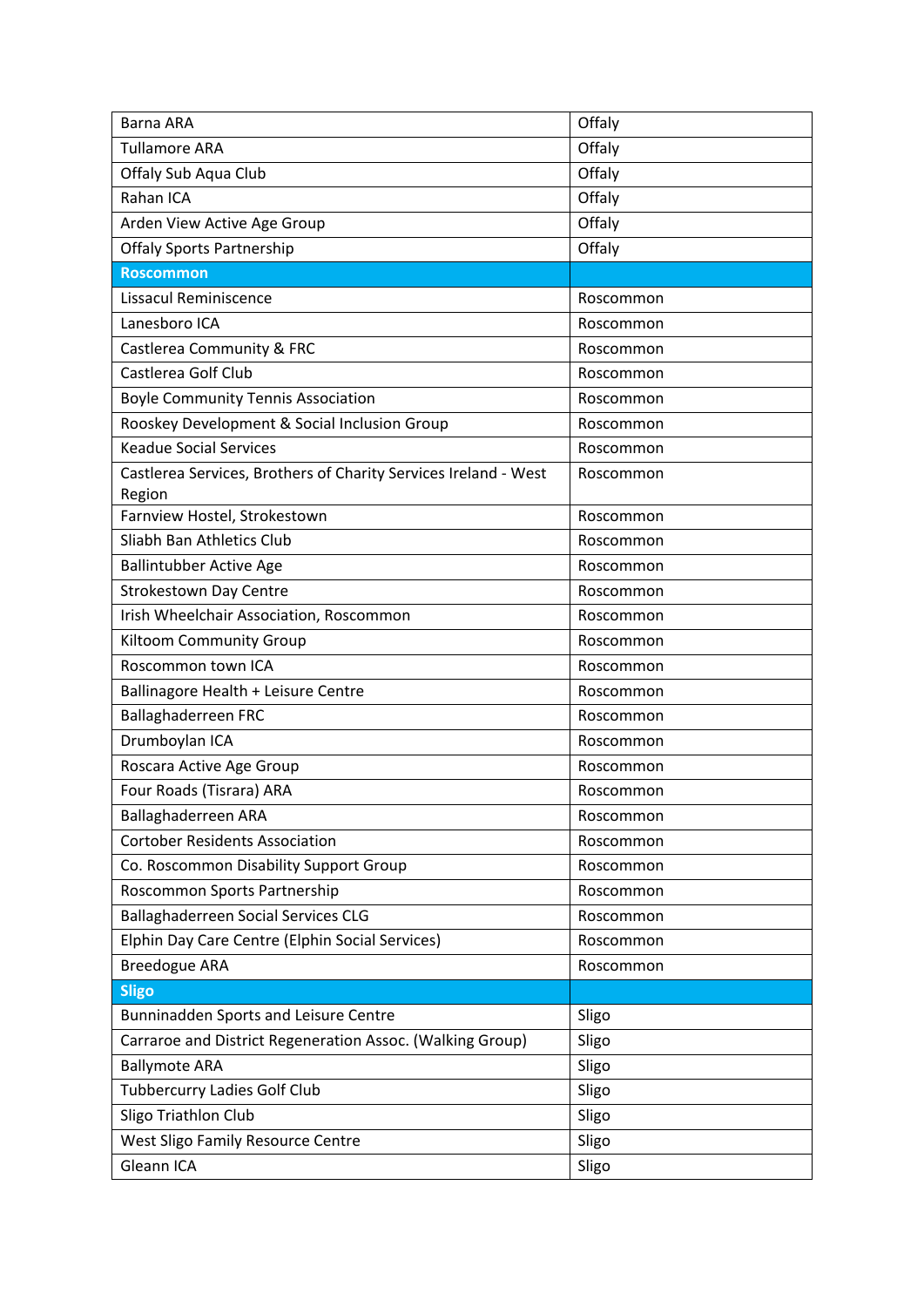| Barna ARA                                                                 | Offaly    |
|---------------------------------------------------------------------------|-----------|
| <b>Tullamore ARA</b>                                                      | Offaly    |
| Offaly Sub Aqua Club                                                      | Offaly    |
| Rahan ICA                                                                 | Offaly    |
| Arden View Active Age Group                                               | Offaly    |
| <b>Offaly Sports Partnership</b>                                          | Offaly    |
| <b>Roscommon</b>                                                          |           |
| Lissacul Reminiscence                                                     | Roscommon |
| Lanesboro ICA                                                             | Roscommon |
| Castlerea Community & FRC                                                 | Roscommon |
| Castlerea Golf Club                                                       | Roscommon |
| <b>Boyle Community Tennis Association</b>                                 | Roscommon |
| Rooskey Development & Social Inclusion Group                              | Roscommon |
| <b>Keadue Social Services</b>                                             | Roscommon |
| Castlerea Services, Brothers of Charity Services Ireland - West<br>Region | Roscommon |
| Farnview Hostel, Strokestown                                              | Roscommon |
| Sliabh Ban Athletics Club                                                 | Roscommon |
| <b>Ballintubber Active Age</b>                                            | Roscommon |
| <b>Strokestown Day Centre</b>                                             | Roscommon |
| Irish Wheelchair Association, Roscommon                                   | Roscommon |
| <b>Kiltoom Community Group</b>                                            | Roscommon |
| Roscommon town ICA                                                        | Roscommon |
| Ballinagore Health + Leisure Centre                                       | Roscommon |
| Ballaghaderreen FRC                                                       | Roscommon |
| Drumboylan ICA                                                            | Roscommon |
| Roscara Active Age Group                                                  | Roscommon |
| Four Roads (Tisrara) ARA                                                  | Roscommon |
| Ballaghaderreen ARA                                                       | Roscommon |
| <b>Cortober Residents Association</b>                                     | Roscommon |
| Co. Roscommon Disability Support Group                                    | Roscommon |
| Roscommon Sports Partnership                                              | Roscommon |
| <b>Ballaghaderreen Social Services CLG</b>                                | Roscommon |
| Elphin Day Care Centre (Elphin Social Services)                           | Roscommon |
| <b>Breedogue ARA</b>                                                      | Roscommon |
| <b>Sligo</b>                                                              |           |
| Bunninadden Sports and Leisure Centre                                     | Sligo     |
| Carraroe and District Regeneration Assoc. (Walking Group)                 | Sligo     |
| <b>Ballymote ARA</b>                                                      | Sligo     |
| <b>Tubbercurry Ladies Golf Club</b>                                       | Sligo     |
| Sligo Triathlon Club                                                      | Sligo     |
| <b>West Sligo Family Resource Centre</b>                                  | Sligo     |
| Gleann ICA                                                                | Sligo     |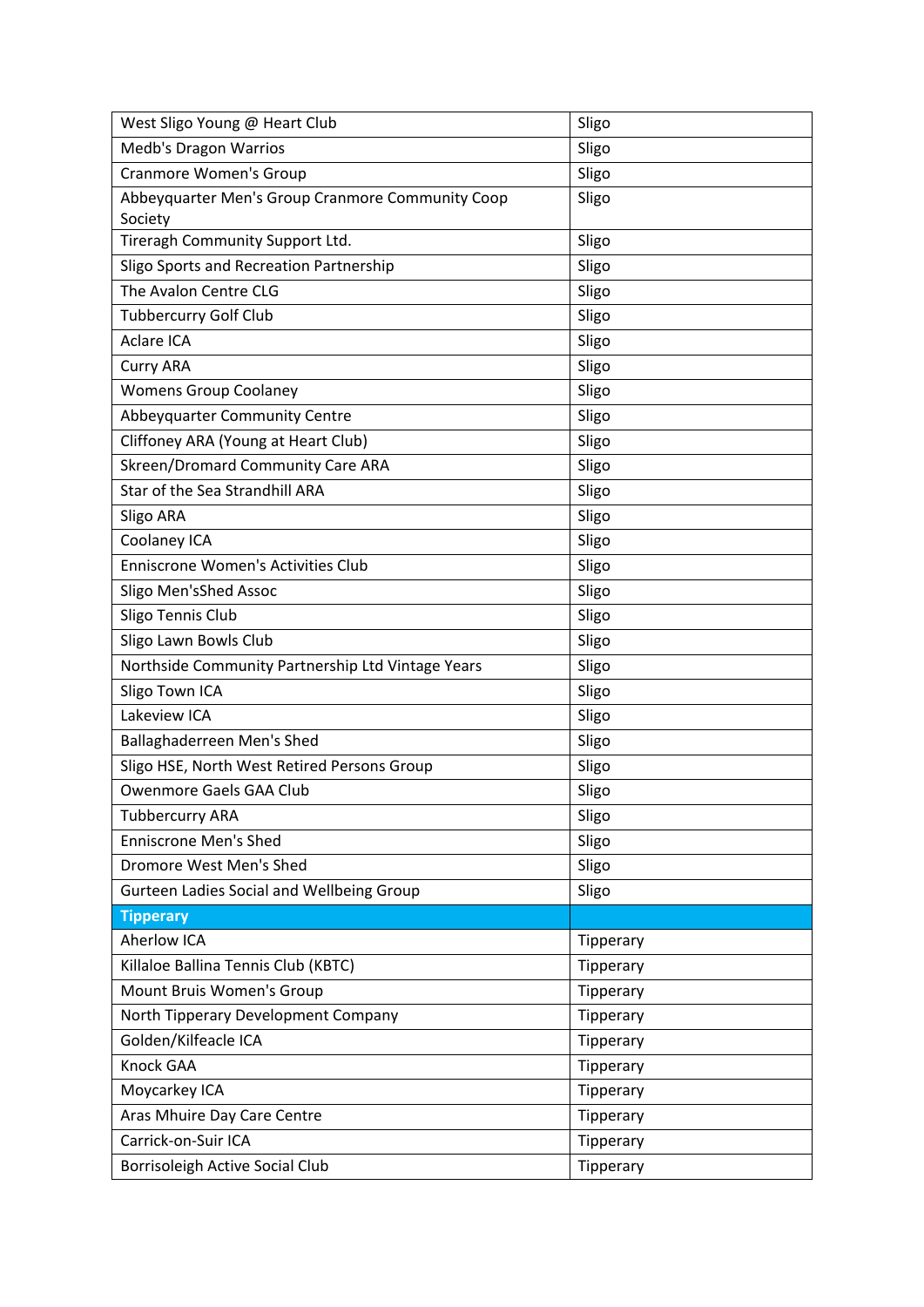| West Sligo Young @ Heart Club                               | Sligo     |
|-------------------------------------------------------------|-----------|
| <b>Medb's Dragon Warrios</b>                                | Sligo     |
| <b>Cranmore Women's Group</b>                               | Sligo     |
| Abbeyquarter Men's Group Cranmore Community Coop<br>Society | Sligo     |
| Tireragh Community Support Ltd.                             | Sligo     |
| Sligo Sports and Recreation Partnership                     | Sligo     |
| The Avalon Centre CLG                                       | Sligo     |
| <b>Tubbercurry Golf Club</b>                                | Sligo     |
| <b>Aclare ICA</b>                                           | Sligo     |
| <b>Curry ARA</b>                                            | Sligo     |
| <b>Womens Group Coolaney</b>                                | Sligo     |
| Abbeyquarter Community Centre                               | Sligo     |
| Cliffoney ARA (Young at Heart Club)                         | Sligo     |
| Skreen/Dromard Community Care ARA                           | Sligo     |
| Star of the Sea Strandhill ARA                              | Sligo     |
| Sligo ARA                                                   | Sligo     |
| Coolaney ICA                                                | Sligo     |
| <b>Enniscrone Women's Activities Club</b>                   | Sligo     |
| Sligo Men'sShed Assoc                                       | Sligo     |
| Sligo Tennis Club                                           | Sligo     |
| Sligo Lawn Bowls Club                                       | Sligo     |
| Northside Community Partnership Ltd Vintage Years           | Sligo     |
| Sligo Town ICA                                              | Sligo     |
| Lakeview ICA                                                | Sligo     |
| Ballaghaderreen Men's Shed                                  | Sligo     |
| Sligo HSE, North West Retired Persons Group                 | Sligo     |
| Owenmore Gaels GAA Club                                     | Sligo     |
| <b>Tubbercurry ARA</b>                                      | Sligo     |
| <b>Enniscrone Men's Shed</b>                                | Sligo     |
| Dromore West Men's Shed                                     | Sligo     |
| Gurteen Ladies Social and Wellbeing Group                   | Sligo     |
| <b>Tipperary</b>                                            |           |
| <b>Aherlow ICA</b>                                          | Tipperary |
| Killaloe Ballina Tennis Club (KBTC)                         | Tipperary |
| Mount Bruis Women's Group                                   | Tipperary |
| North Tipperary Development Company                         | Tipperary |
| Golden/Kilfeacle ICA                                        | Tipperary |
| Knock GAA                                                   | Tipperary |
| Moycarkey ICA                                               | Tipperary |
| Aras Mhuire Day Care Centre                                 | Tipperary |
| Carrick-on-Suir ICA                                         | Tipperary |
| Borrisoleigh Active Social Club                             | Tipperary |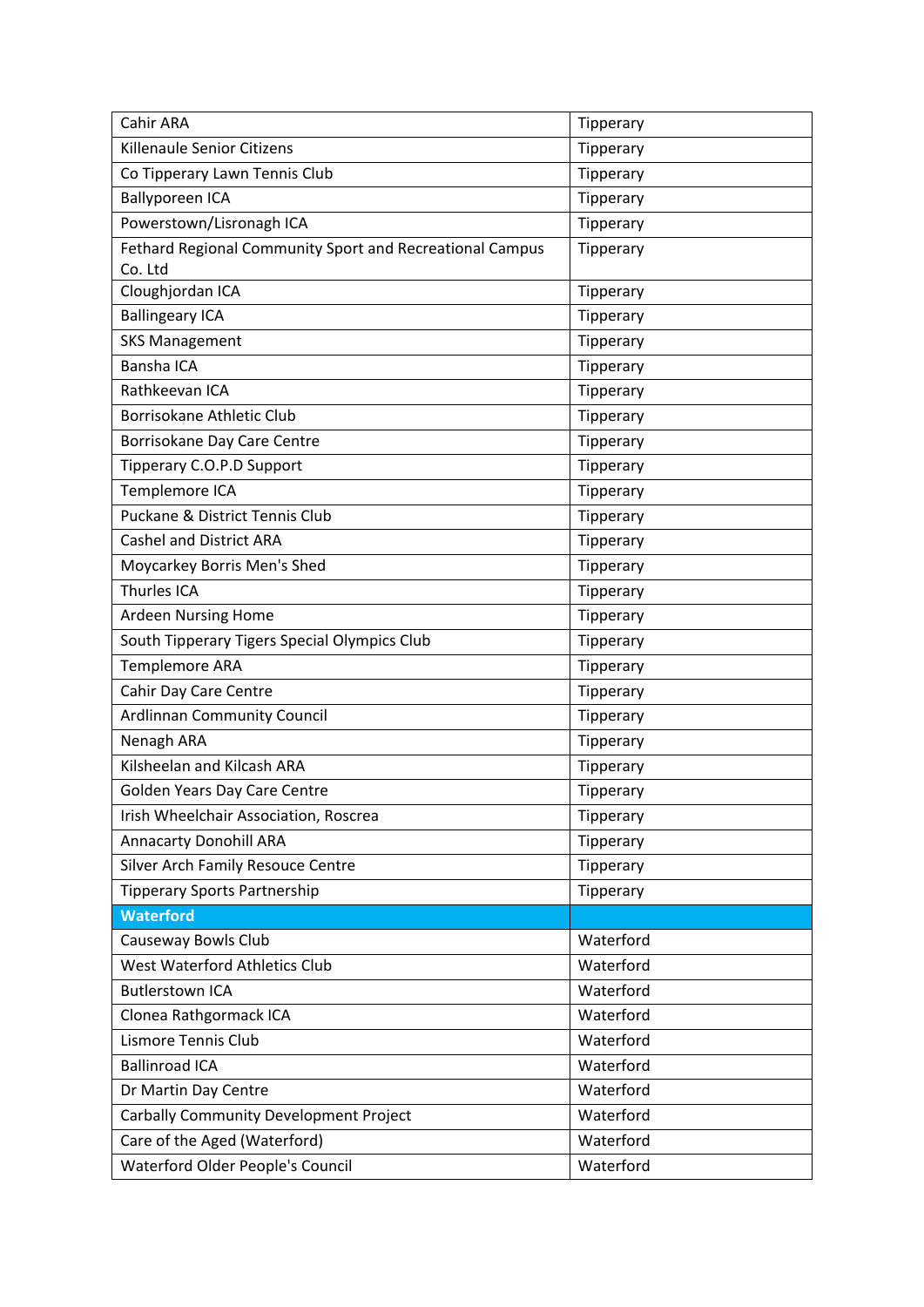| Cahir ARA                                                           | Tipperary |
|---------------------------------------------------------------------|-----------|
| Killenaule Senior Citizens                                          | Tipperary |
| Co Tipperary Lawn Tennis Club                                       | Tipperary |
| <b>Ballyporeen ICA</b>                                              | Tipperary |
| Powerstown/Lisronagh ICA                                            | Tipperary |
| Fethard Regional Community Sport and Recreational Campus<br>Co. Ltd | Tipperary |
| Cloughjordan ICA                                                    | Tipperary |
| <b>Ballingeary ICA</b>                                              | Tipperary |
| <b>SKS Management</b>                                               | Tipperary |
| <b>Bansha ICA</b>                                                   | Tipperary |
| Rathkeevan ICA                                                      | Tipperary |
| Borrisokane Athletic Club                                           | Tipperary |
| Borrisokane Day Care Centre                                         | Tipperary |
| Tipperary C.O.P.D Support                                           | Tipperary |
| Templemore ICA                                                      | Tipperary |
| Puckane & District Tennis Club                                      | Tipperary |
| <b>Cashel and District ARA</b>                                      | Tipperary |
| Moycarkey Borris Men's Shed                                         | Tipperary |
| Thurles ICA                                                         | Tipperary |
| <b>Ardeen Nursing Home</b>                                          | Tipperary |
| South Tipperary Tigers Special Olympics Club                        | Tipperary |
| Templemore ARA                                                      | Tipperary |
| Cahir Day Care Centre                                               | Tipperary |
| <b>Ardlinnan Community Council</b>                                  | Tipperary |
| Nenagh ARA                                                          | Tipperary |
| Kilsheelan and Kilcash ARA                                          | Tipperary |
| Golden Years Day Care Centre                                        | Tipperary |
| Irish Wheelchair Association, Roscrea                               | Tipperary |
| <b>Annacarty Donohill ARA</b>                                       | Tipperary |
| Silver Arch Family Resouce Centre                                   | Tipperary |
| <b>Tipperary Sports Partnership</b>                                 | Tipperary |
| <b>Waterford</b>                                                    |           |
| Causeway Bowls Club                                                 | Waterford |
| West Waterford Athletics Club                                       | Waterford |
| <b>Butlerstown ICA</b>                                              | Waterford |
| Clonea Rathgormack ICA                                              | Waterford |
| Lismore Tennis Club                                                 | Waterford |
| <b>Ballinroad ICA</b>                                               | Waterford |
| Dr Martin Day Centre                                                | Waterford |
| <b>Carbally Community Development Project</b>                       | Waterford |
| Care of the Aged (Waterford)                                        | Waterford |
| Waterford Older People's Council                                    | Waterford |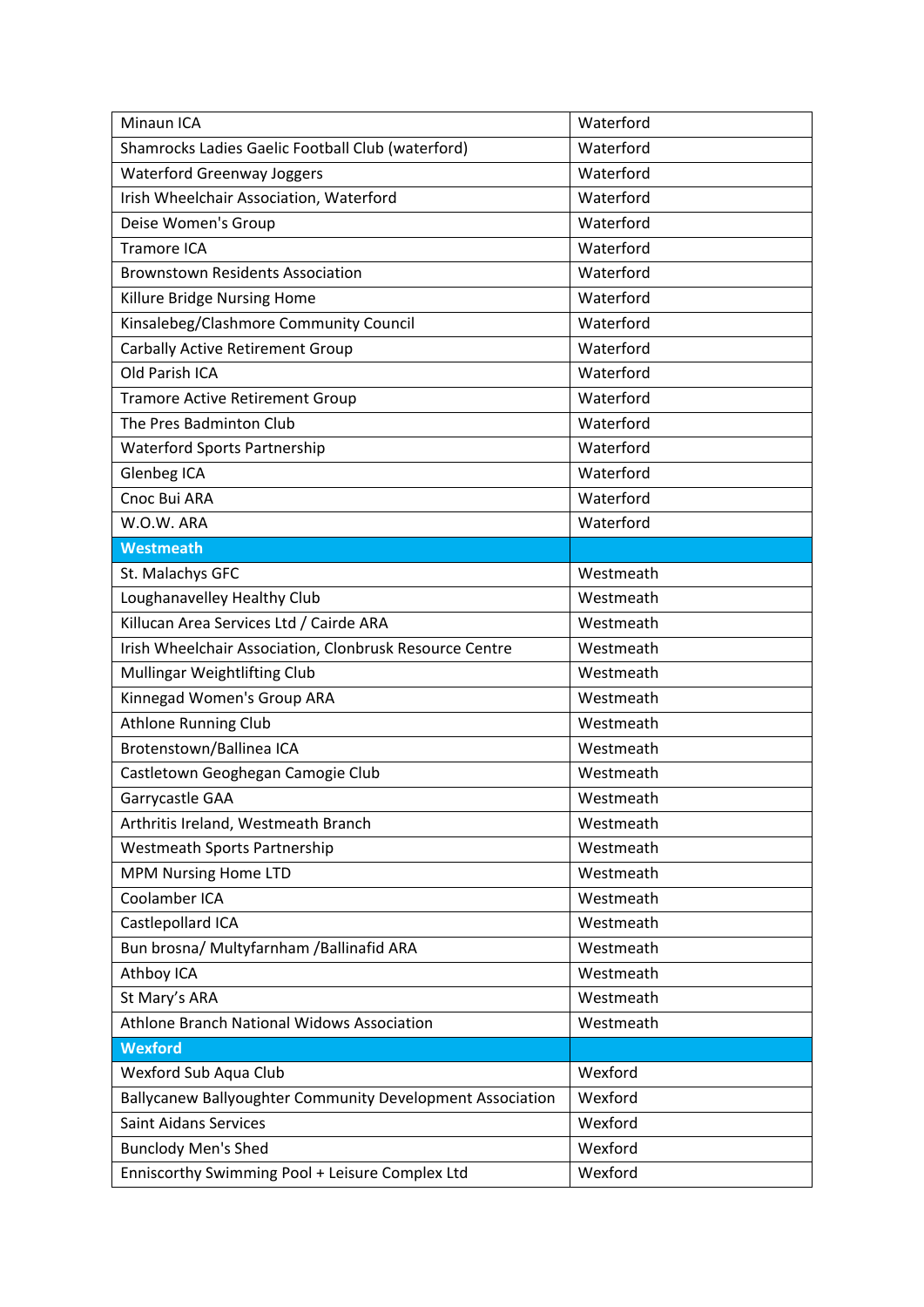| Minaun ICA                                                | Waterford |
|-----------------------------------------------------------|-----------|
| Shamrocks Ladies Gaelic Football Club (waterford)         | Waterford |
| <b>Waterford Greenway Joggers</b>                         | Waterford |
| Irish Wheelchair Association, Waterford                   | Waterford |
| Deise Women's Group                                       | Waterford |
| Tramore ICA                                               | Waterford |
| <b>Brownstown Residents Association</b>                   | Waterford |
| Killure Bridge Nursing Home                               | Waterford |
| Kinsalebeg/Clashmore Community Council                    | Waterford |
| <b>Carbally Active Retirement Group</b>                   | Waterford |
| Old Parish ICA                                            | Waterford |
| <b>Tramore Active Retirement Group</b>                    | Waterford |
| The Pres Badminton Club                                   | Waterford |
| <b>Waterford Sports Partnership</b>                       | Waterford |
| Glenbeg ICA                                               | Waterford |
| Cnoc Bui ARA                                              | Waterford |
| W.O.W. ARA                                                | Waterford |
| <b>Westmeath</b>                                          |           |
| St. Malachys GFC                                          | Westmeath |
| Loughanavelley Healthy Club                               | Westmeath |
| Killucan Area Services Ltd / Cairde ARA                   | Westmeath |
| Irish Wheelchair Association, Clonbrusk Resource Centre   | Westmeath |
| Mullingar Weightlifting Club                              | Westmeath |
| Kinnegad Women's Group ARA                                | Westmeath |
| <b>Athlone Running Club</b>                               | Westmeath |
| Brotenstown/Ballinea ICA                                  | Westmeath |
| Castletown Geoghegan Camogie Club                         | Westmeath |
| Garrycastle GAA                                           | Westmeath |
| Arthritis Ireland, Westmeath Branch                       | Westmeath |
| <b>Westmeath Sports Partnership</b>                       | Westmeath |
| <b>MPM Nursing Home LTD</b>                               | Westmeath |
| Coolamber ICA                                             | Westmeath |
| Castlepollard ICA                                         | Westmeath |
| Bun brosna/ Multyfarnham / Ballinafid ARA                 | Westmeath |
| Athboy ICA                                                | Westmeath |
| St Mary's ARA                                             | Westmeath |
| Athlone Branch National Widows Association                | Westmeath |
| <b>Wexford</b>                                            |           |
| Wexford Sub Aqua Club                                     | Wexford   |
| Ballycanew Ballyoughter Community Development Association | Wexford   |
| <b>Saint Aidans Services</b>                              | Wexford   |
| <b>Bunclody Men's Shed</b>                                | Wexford   |
| Enniscorthy Swimming Pool + Leisure Complex Ltd           | Wexford   |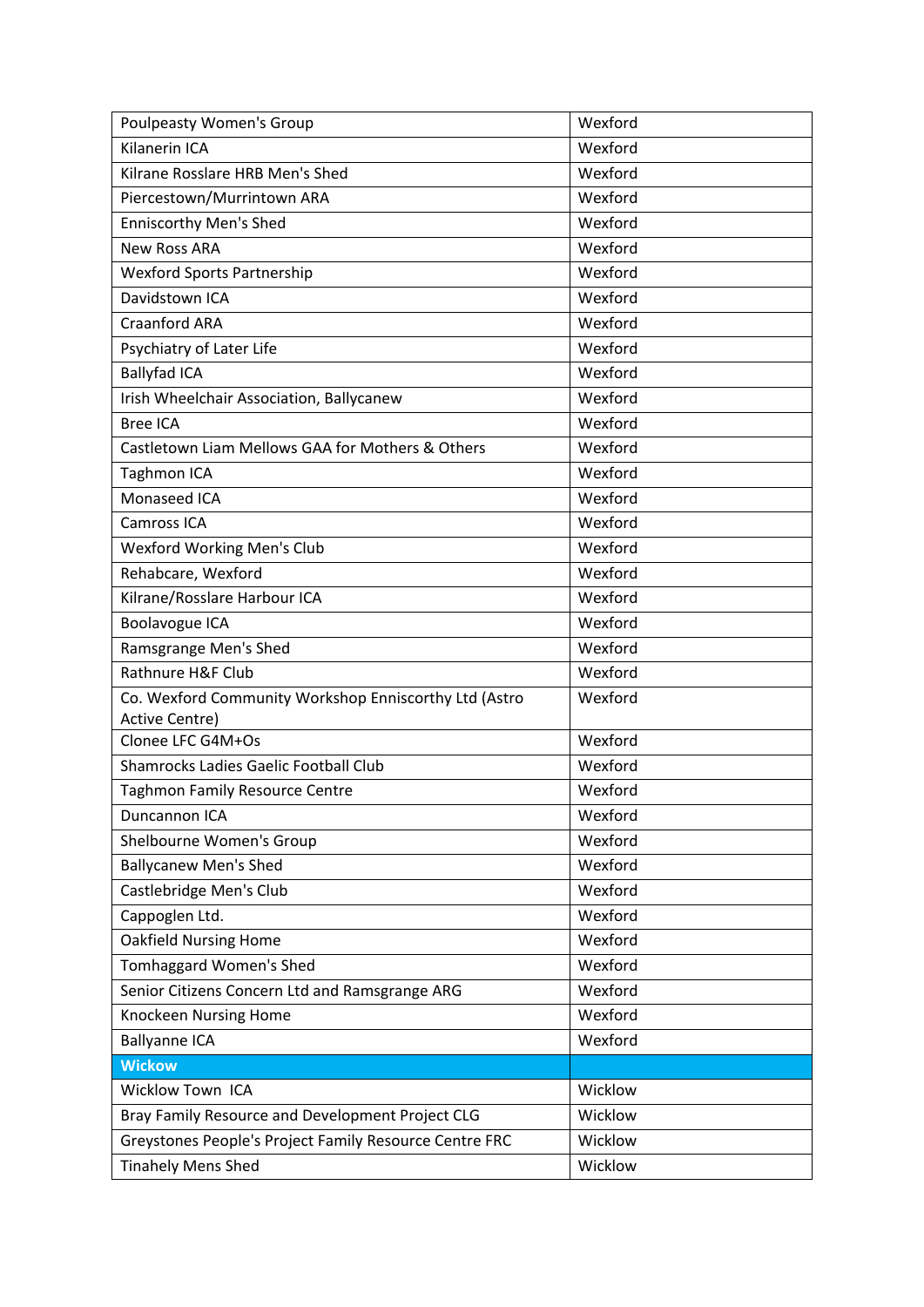| <b>Poulpeasty Women's Group</b>                        | Wexford |
|--------------------------------------------------------|---------|
| Kilanerin ICA                                          | Wexford |
| Kilrane Rosslare HRB Men's Shed                        | Wexford |
| Piercestown/Murrintown ARA                             | Wexford |
| <b>Enniscorthy Men's Shed</b>                          | Wexford |
| <b>New Ross ARA</b>                                    | Wexford |
| <b>Wexford Sports Partnership</b>                      | Wexford |
| Davidstown ICA                                         | Wexford |
| <b>Craanford ARA</b>                                   | Wexford |
| Psychiatry of Later Life                               | Wexford |
| <b>Ballyfad ICA</b>                                    | Wexford |
| Irish Wheelchair Association, Ballycanew               | Wexford |
| <b>Bree ICA</b>                                        | Wexford |
| Castletown Liam Mellows GAA for Mothers & Others       | Wexford |
| <b>Taghmon ICA</b>                                     | Wexford |
| Monaseed ICA                                           | Wexford |
| Camross ICA                                            | Wexford |
| Wexford Working Men's Club                             | Wexford |
| Rehabcare, Wexford                                     | Wexford |
| Kilrane/Rosslare Harbour ICA                           | Wexford |
| Boolavogue ICA                                         | Wexford |
| Ramsgrange Men's Shed                                  | Wexford |
| Rathnure H&F Club                                      | Wexford |
| Co. Wexford Community Workshop Enniscorthy Ltd (Astro  | Wexford |
| <b>Active Centre)</b>                                  | Wexford |
| Clonee LFC G4M+Os                                      |         |
| Shamrocks Ladies Gaelic Football Club                  | Wexford |
| <b>Taghmon Family Resource Centre</b>                  | Wexford |
| Duncannon ICA                                          | Wexford |
| Shelbourne Women's Group                               | Wexford |
| <b>Ballycanew Men's Shed</b>                           | Wexford |
| Castlebridge Men's Club                                | Wexford |
| Cappoglen Ltd.                                         | Wexford |
| <b>Oakfield Nursing Home</b>                           | Wexford |
| Tomhaggard Women's Shed                                | Wexford |
| Senior Citizens Concern Ltd and Ramsgrange ARG         | Wexford |
| Knockeen Nursing Home                                  | Wexford |
| <b>Ballyanne ICA</b>                                   | Wexford |
| <b>Wickow</b>                                          |         |
| <b>Wicklow Town ICA</b>                                | Wicklow |
| Bray Family Resource and Development Project CLG       | Wicklow |
| Greystones People's Project Family Resource Centre FRC | Wicklow |
| <b>Tinahely Mens Shed</b>                              | Wicklow |